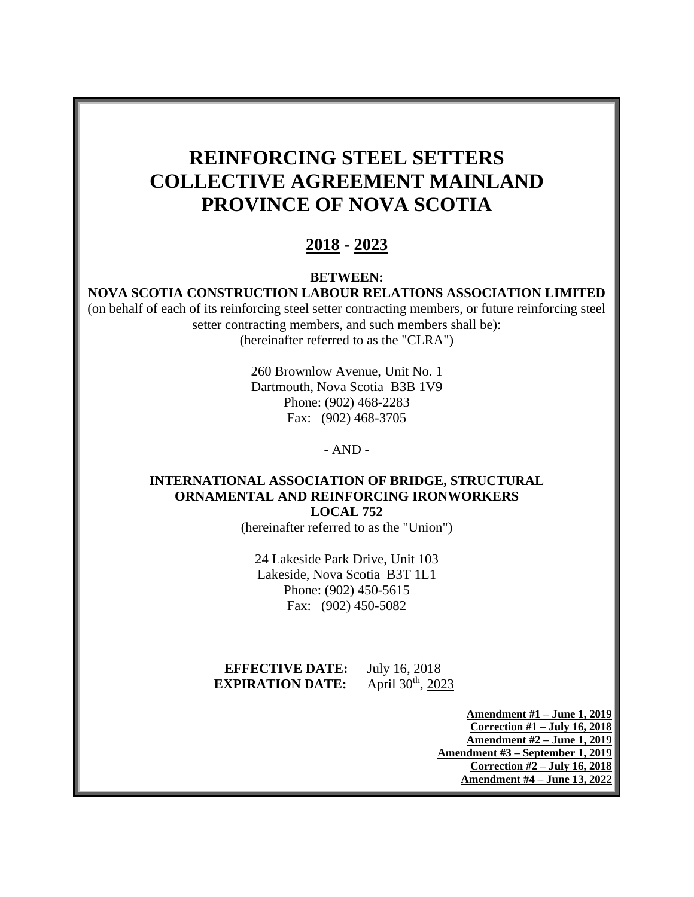# **REINFORCING STEEL SETTERS COLLECTIVE AGREEMENT MAINLAND PROVINCE OF NOVA SCOTIA**

# **2018 - 2023**

**BETWEEN:**

#### **NOVA SCOTIA CONSTRUCTION LABOUR RELATIONS ASSOCIATION LIMITED**

(on behalf of each of its reinforcing steel setter contracting members, or future reinforcing steel setter contracting members, and such members shall be): (hereinafter referred to as the "CLRA")

> 260 Brownlow Avenue, Unit No. 1 Dartmouth, Nova Scotia B3B 1V9 Phone: (902) 468-2283 Fax: (902) 468-3705

> > - AND -

#### **INTERNATIONAL ASSOCIATION OF BRIDGE, STRUCTURAL ORNAMENTAL AND REINFORCING IRONWORKERS LOCAL 752**

(hereinafter referred to as the "Union")

24 Lakeside Park Drive, Unit 103 Lakeside, Nova Scotia B3T 1L1 Phone: (902) 450-5615 Fax: (902) 450-5082

**EFFECTIVE DATE:** July 16, 2018 **EXPIRATION DATE:** April 30<sup>th</sup>, 2023

> **Amendment #1 – June 1, 2019 Correction #1 – July 16, 2018 Amendment #2 – June 1, 2019 Amendment #3 – September 1, 2019 Correction #2 – July 16, 2018 Amendment #4 – June 13, 2022**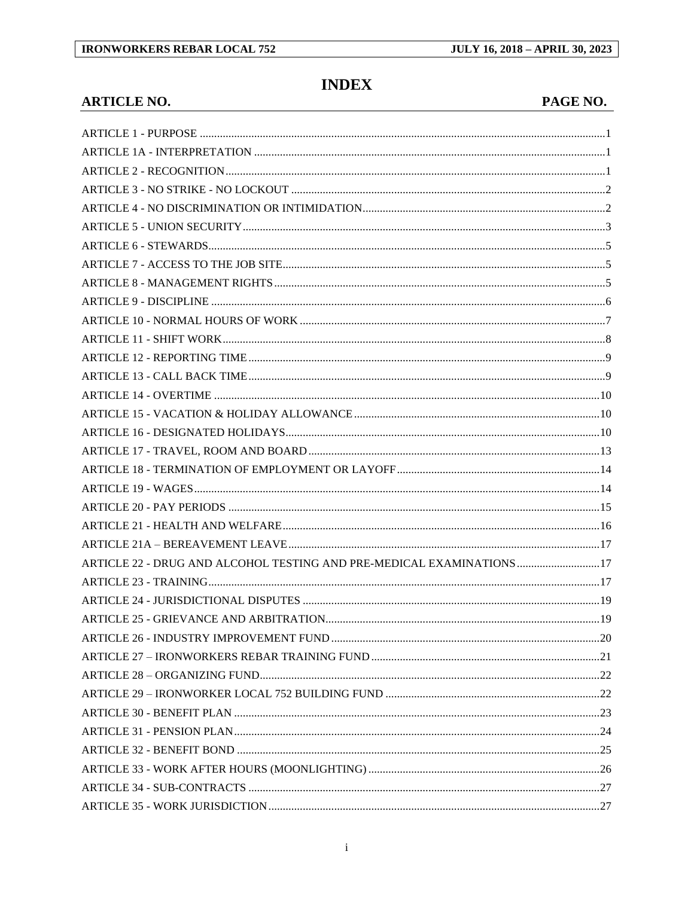# **INDEX**

#### **ARTICLE NO.**

| <b>PAGE NO.</b> |  |
|-----------------|--|
|-----------------|--|

| ARTICLE 22 - DRUG AND ALCOHOL TESTING AND PRE-MEDICAL EXAMINATIONS  17 |  |
|------------------------------------------------------------------------|--|
|                                                                        |  |
|                                                                        |  |
|                                                                        |  |
|                                                                        |  |
|                                                                        |  |
|                                                                        |  |
|                                                                        |  |
|                                                                        |  |
|                                                                        |  |
|                                                                        |  |
|                                                                        |  |
|                                                                        |  |
|                                                                        |  |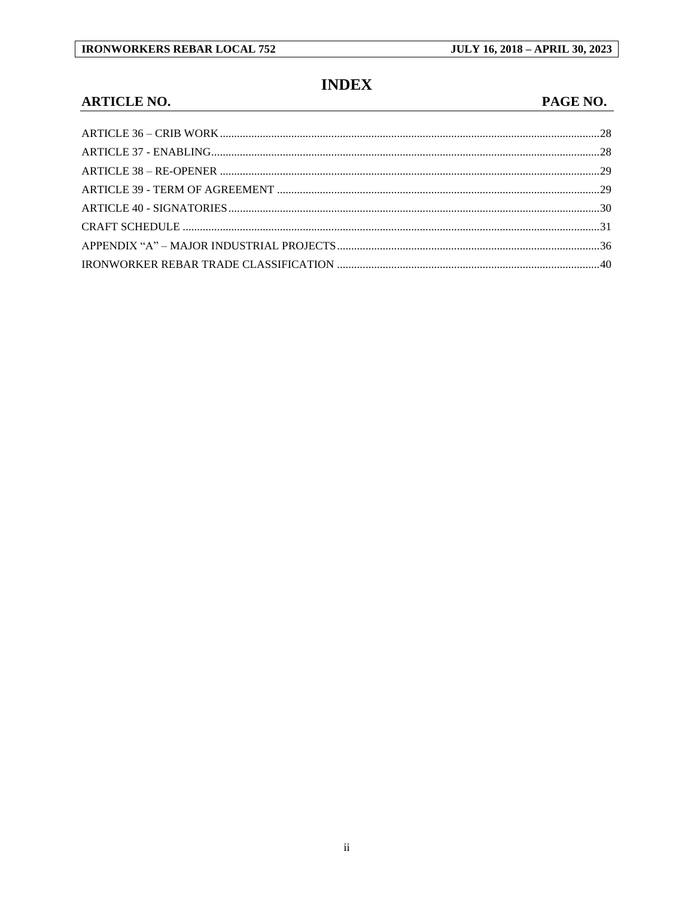# **INDEX**

#### **ARTICLE NO.**

#### PAGE NO.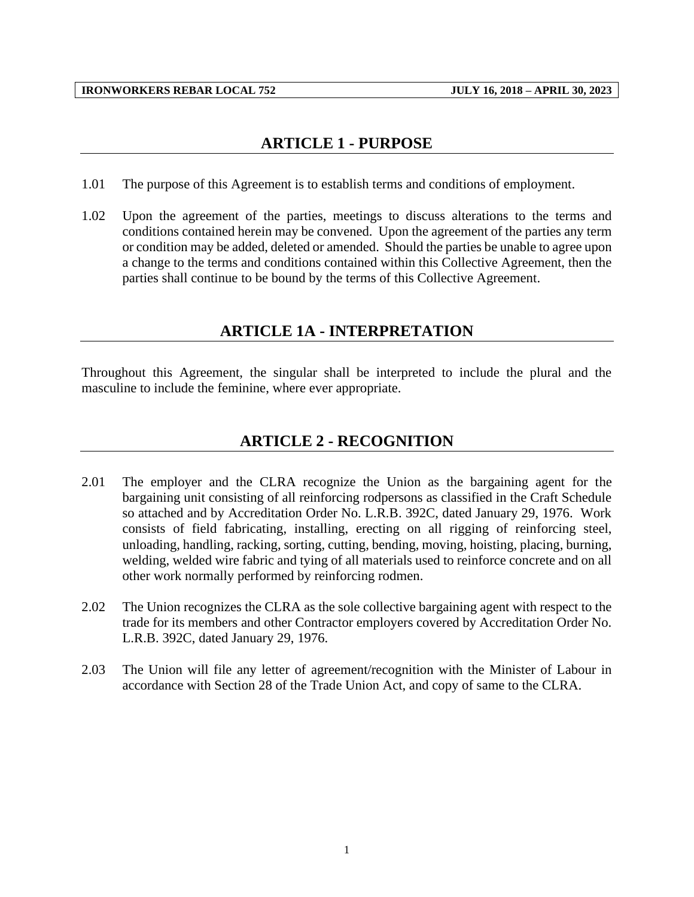## **ARTICLE 1 - PURPOSE**

- <span id="page-3-0"></span>1.01 The purpose of this Agreement is to establish terms and conditions of employment.
- 1.02 Upon the agreement of the parties, meetings to discuss alterations to the terms and conditions contained herein may be convened. Upon the agreement of the parties any term or condition may be added, deleted or amended. Should the parties be unable to agree upon a change to the terms and conditions contained within this Collective Agreement, then the parties shall continue to be bound by the terms of this Collective Agreement.

## **ARTICLE 1A - INTERPRETATION**

<span id="page-3-2"></span><span id="page-3-1"></span>Throughout this Agreement, the singular shall be interpreted to include the plural and the masculine to include the feminine, where ever appropriate.

## **ARTICLE 2 - RECOGNITION**

- 2.01 The employer and the CLRA recognize the Union as the bargaining agent for the bargaining unit consisting of all reinforcing rodpersons as classified in the Craft Schedule so attached and by Accreditation Order No. L.R.B. 392C, dated January 29, 1976. Work consists of field fabricating, installing, erecting on all rigging of reinforcing steel, unloading, handling, racking, sorting, cutting, bending, moving, hoisting, placing, burning, welding, welded wire fabric and tying of all materials used to reinforce concrete and on all other work normally performed by reinforcing rodmen.
- 2.02 The Union recognizes the CLRA as the sole collective bargaining agent with respect to the trade for its members and other Contractor employers covered by Accreditation Order No. L.R.B. 392C, dated January 29, 1976.
- 2.03 The Union will file any letter of agreement/recognition with the Minister of Labour in accordance with Section 28 of the Trade Union Act, and copy of same to the CLRA.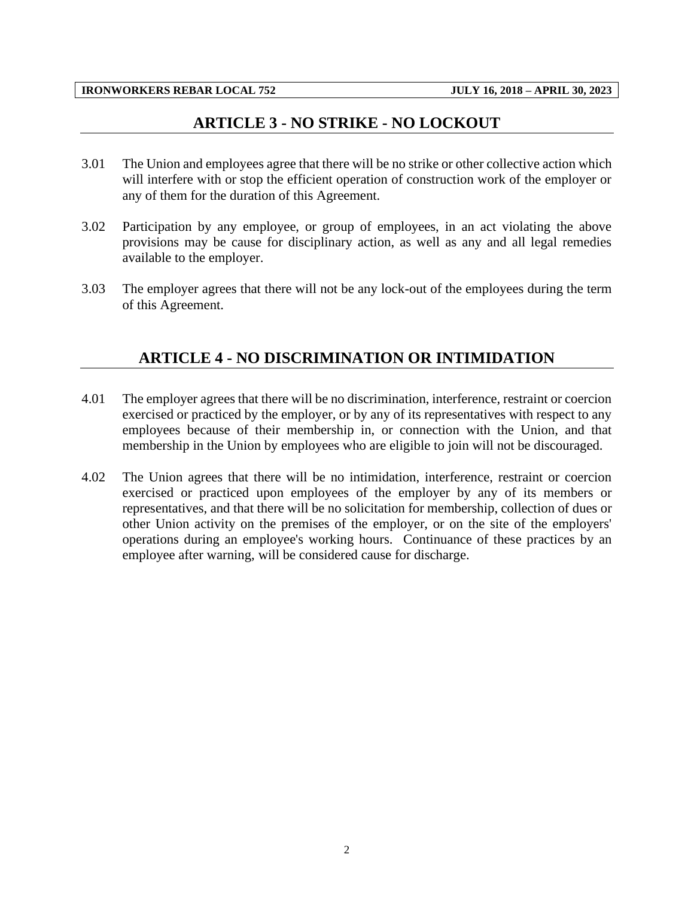#### **ARTICLE 3 - NO STRIKE - NO LOCKOUT**

- <span id="page-4-0"></span>3.01 The Union and employees agree that there will be no strike or other collective action which will interfere with or stop the efficient operation of construction work of the employer or any of them for the duration of this Agreement.
- 3.02 Participation by any employee, or group of employees, in an act violating the above provisions may be cause for disciplinary action, as well as any and all legal remedies available to the employer.
- <span id="page-4-1"></span>3.03 The employer agrees that there will not be any lock-out of the employees during the term of this Agreement.

## **ARTICLE 4 - NO DISCRIMINATION OR INTIMIDATION**

- 4.01 The employer agrees that there will be no discrimination, interference, restraint or coercion exercised or practiced by the employer, or by any of its representatives with respect to any employees because of their membership in, or connection with the Union, and that membership in the Union by employees who are eligible to join will not be discouraged.
- 4.02 The Union agrees that there will be no intimidation, interference, restraint or coercion exercised or practiced upon employees of the employer by any of its members or representatives, and that there will be no solicitation for membership, collection of dues or other Union activity on the premises of the employer, or on the site of the employers' operations during an employee's working hours. Continuance of these practices by an employee after warning, will be considered cause for discharge.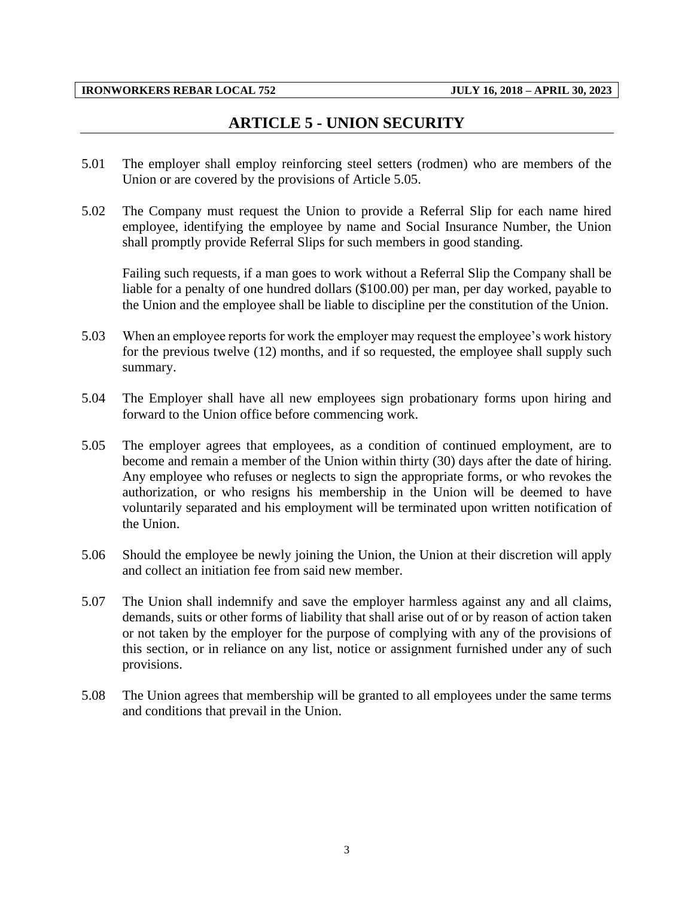## **ARTICLE 5 - UNION SECURITY**

- <span id="page-5-0"></span>5.01 The employer shall employ reinforcing steel setters (rodmen) who are members of the Union or are covered by the provisions of Article 5.05.
- 5.02 The Company must request the Union to provide a Referral Slip for each name hired employee, identifying the employee by name and Social Insurance Number, the Union shall promptly provide Referral Slips for such members in good standing.

Failing such requests, if a man goes to work without a Referral Slip the Company shall be liable for a penalty of one hundred dollars (\$100.00) per man, per day worked, payable to the Union and the employee shall be liable to discipline per the constitution of the Union.

- 5.03 When an employee reports for work the employer may request the employee's work history for the previous twelve (12) months, and if so requested, the employee shall supply such summary.
- 5.04 The Employer shall have all new employees sign probationary forms upon hiring and forward to the Union office before commencing work.
- 5.05 The employer agrees that employees, as a condition of continued employment, are to become and remain a member of the Union within thirty (30) days after the date of hiring. Any employee who refuses or neglects to sign the appropriate forms, or who revokes the authorization, or who resigns his membership in the Union will be deemed to have voluntarily separated and his employment will be terminated upon written notification of the Union.
- 5.06 Should the employee be newly joining the Union, the Union at their discretion will apply and collect an initiation fee from said new member.
- 5.07 The Union shall indemnify and save the employer harmless against any and all claims, demands, suits or other forms of liability that shall arise out of or by reason of action taken or not taken by the employer for the purpose of complying with any of the provisions of this section, or in reliance on any list, notice or assignment furnished under any of such provisions.
- 5.08 The Union agrees that membership will be granted to all employees under the same terms and conditions that prevail in the Union.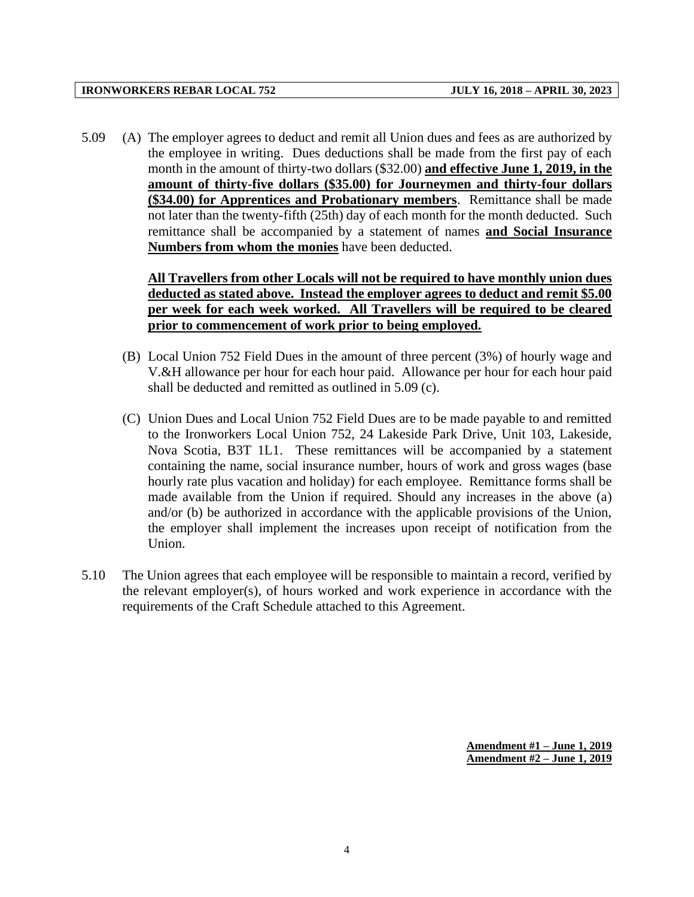5.09 (A) The employer agrees to deduct and remit all Union dues and fees as are authorized by the employee in writing. Dues deductions shall be made from the first pay of each month in the amount of thirty-two dollars (\$32.00) **and effective June 1, 2019, in the amount of thirty-five dollars (\$35.00) for Journeymen and thirty-four dollars (\$34.00) for Apprentices and Probationary members**. Remittance shall be made not later than the twenty-fifth (25th) day of each month for the month deducted. Such remittance shall be accompanied by a statement of names **and Social Insurance Numbers from whom the monies** have been deducted.

> **All Travellers from other Locals will not be required to have monthly union dues deducted as stated above. Instead the employer agrees to deduct and remit \$5.00 per week for each week worked. All Travellers will be required to be cleared prior to commencement of work prior to being employed.**

- (B) Local Union 752 Field Dues in the amount of three percent (3%) of hourly wage and V.&H allowance per hour for each hour paid. Allowance per hour for each hour paid shall be deducted and remitted as outlined in 5.09 (c).
- (C) Union Dues and Local Union 752 Field Dues are to be made payable to and remitted to the Ironworkers Local Union 752, 24 Lakeside Park Drive, Unit 103, Lakeside, Nova Scotia, B3T 1L1. These remittances will be accompanied by a statement containing the name, social insurance number, hours of work and gross wages (base hourly rate plus vacation and holiday) for each employee. Remittance forms shall be made available from the Union if required. Should any increases in the above (a) and/or (b) be authorized in accordance with the applicable provisions of the Union, the employer shall implement the increases upon receipt of notification from the Union.
- 5.10 The Union agrees that each employee will be responsible to maintain a record, verified by the relevant employer(s), of hours worked and work experience in accordance with the requirements of the Craft Schedule attached to this Agreement.

**Amendment #1 – June 1, 2019 Amendment #2 – June 1, 2019**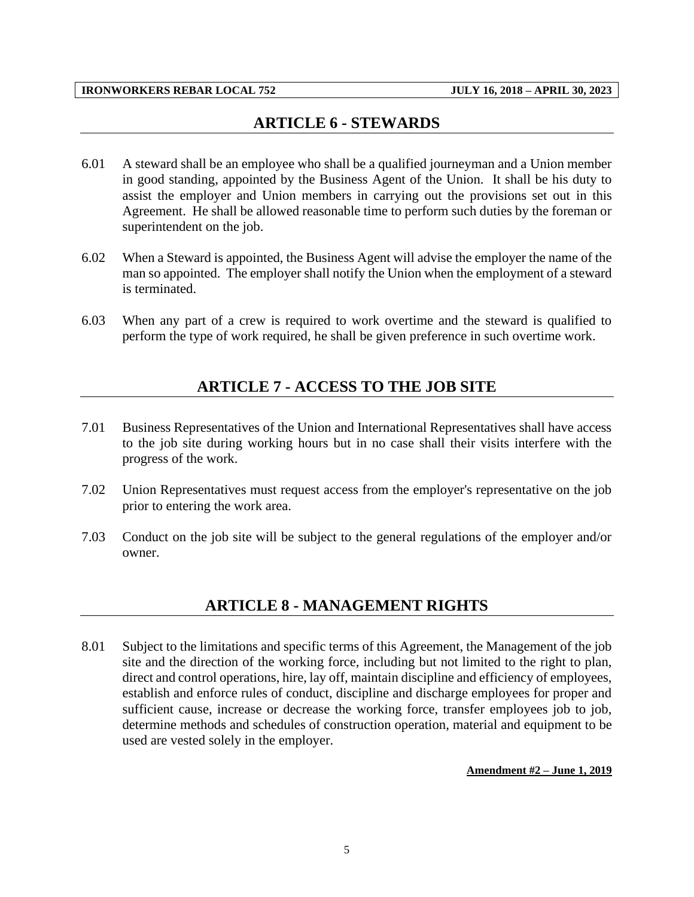## **ARTICLE 6 - STEWARDS**

- <span id="page-7-0"></span>6.01 A steward shall be an employee who shall be a qualified journeyman and a Union member in good standing, appointed by the Business Agent of the Union. It shall be his duty to assist the employer and Union members in carrying out the provisions set out in this Agreement. He shall be allowed reasonable time to perform such duties by the foreman or superintendent on the job.
- 6.02 When a Steward is appointed, the Business Agent will advise the employer the name of the man so appointed. The employer shall notify the Union when the employment of a steward is terminated.
- <span id="page-7-1"></span>6.03 When any part of a crew is required to work overtime and the steward is qualified to perform the type of work required, he shall be given preference in such overtime work.

## **ARTICLE 7 - ACCESS TO THE JOB SITE**

- 7.01 Business Representatives of the Union and International Representatives shall have access to the job site during working hours but in no case shall their visits interfere with the progress of the work.
- 7.02 Union Representatives must request access from the employer's representative on the job prior to entering the work area.
- <span id="page-7-2"></span>7.03 Conduct on the job site will be subject to the general regulations of the employer and/or owner.

#### **ARTICLE 8 - MANAGEMENT RIGHTS**

8.01 Subject to the limitations and specific terms of this Agreement, the Management of the job site and the direction of the working force, including but not limited to the right to plan, direct and control operations, hire, lay off, maintain discipline and efficiency of employees, establish and enforce rules of conduct, discipline and discharge employees for proper and sufficient cause, increase or decrease the working force, transfer employees job to job, determine methods and schedules of construction operation, material and equipment to be used are vested solely in the employer.

**Amendment #2 – June 1, 2019**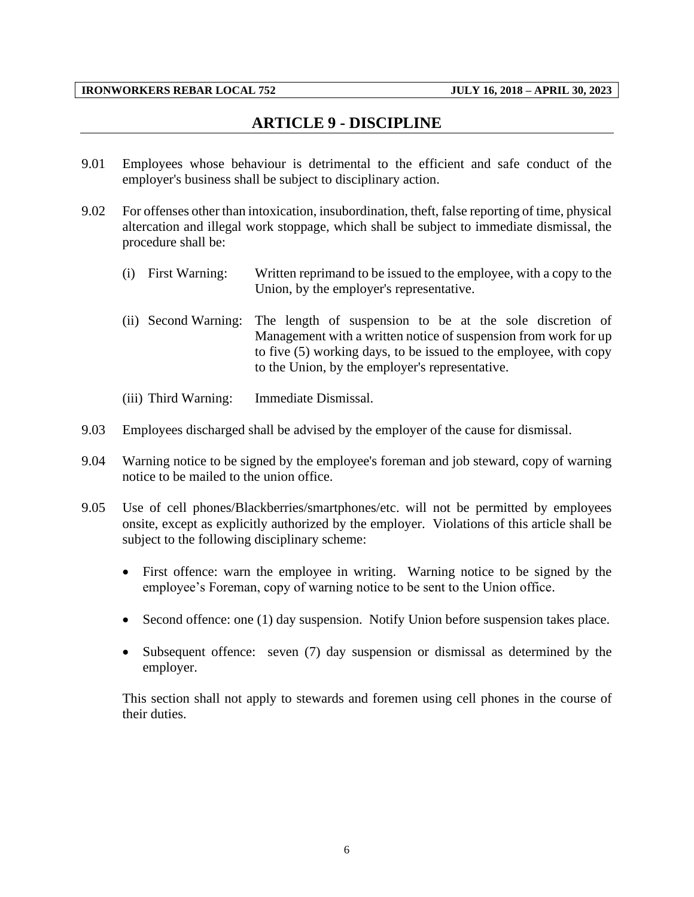### **ARTICLE 9 - DISCIPLINE**

- <span id="page-8-0"></span>9.01 Employees whose behaviour is detrimental to the efficient and safe conduct of the employer's business shall be subject to disciplinary action.
- 9.02 For offenses other than intoxication, insubordination, theft, false reporting of time, physical altercation and illegal work stoppage, which shall be subject to immediate dismissal, the procedure shall be:
	- (i) First Warning: Written reprimand to be issued to the employee, with a copy to the Union, by the employer's representative.
	- (ii) Second Warning: The length of suspension to be at the sole discretion of Management with a written notice of suspension from work for up to five (5) working days, to be issued to the employee, with copy to the Union, by the employer's representative.
	- (iii) Third Warning: Immediate Dismissal.
- 9.03 Employees discharged shall be advised by the employer of the cause for dismissal.
- 9.04 Warning notice to be signed by the employee's foreman and job steward, copy of warning notice to be mailed to the union office.
- 9.05 Use of cell phones/Blackberries/smartphones/etc. will not be permitted by employees onsite, except as explicitly authorized by the employer. Violations of this article shall be subject to the following disciplinary scheme:
	- First offence: warn the employee in writing. Warning notice to be signed by the employee's Foreman, copy of warning notice to be sent to the Union office.
	- Second offence: one (1) day suspension. Notify Union before suspension takes place.
	- Subsequent offence: seven (7) day suspension or dismissal as determined by the employer.

This section shall not apply to stewards and foremen using cell phones in the course of their duties.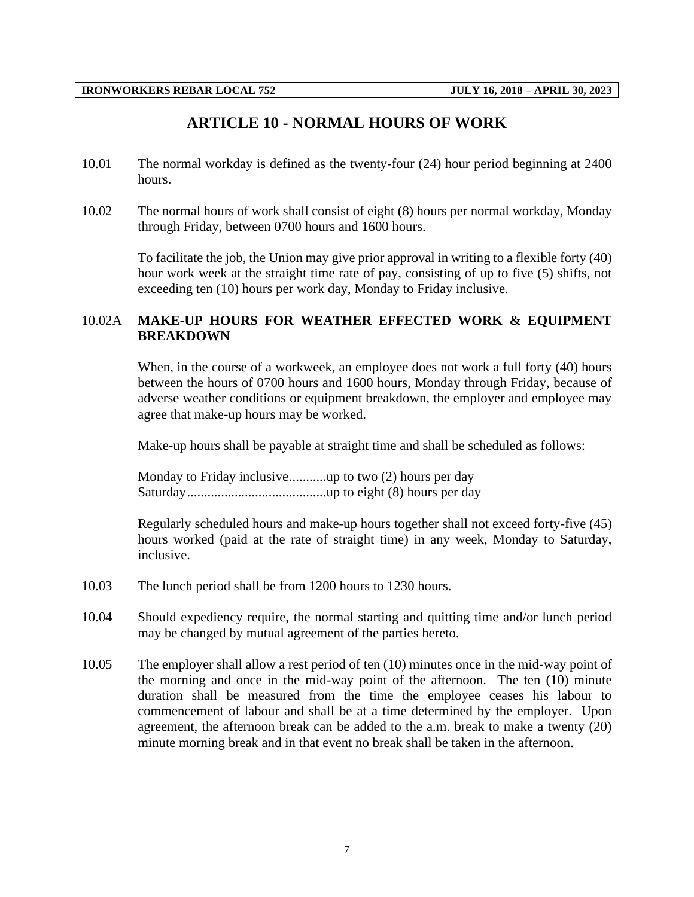#### **ARTICLE 10 - NORMAL HOURS OF WORK**

- <span id="page-9-0"></span>10.01 The normal workday is defined as the twenty-four (24) hour period beginning at 2400 hours.
- 10.02 The normal hours of work shall consist of eight (8) hours per normal workday, Monday through Friday, between 0700 hours and 1600 hours.

To facilitate the job, the Union may give prior approval in writing to a flexible forty (40) hour work week at the straight time rate of pay, consisting of up to five (5) shifts, not exceeding ten (10) hours per work day, Monday to Friday inclusive.

#### 10.02A **MAKE-UP HOURS FOR WEATHER EFFECTED WORK & EQUIPMENT BREAKDOWN**

When, in the course of a workweek, an employee does not work a full forty (40) hours between the hours of 0700 hours and 1600 hours, Monday through Friday, because of adverse weather conditions or equipment breakdown, the employer and employee may agree that make-up hours may be worked.

Make-up hours shall be payable at straight time and shall be scheduled as follows:

Monday to Friday inclusive...........up to two (2) hours per day Saturday.........................................up to eight (8) hours per day

Regularly scheduled hours and make-up hours together shall not exceed forty-five (45) hours worked (paid at the rate of straight time) in any week, Monday to Saturday, inclusive.

- 10.03 The lunch period shall be from 1200 hours to 1230 hours.
- 10.04 Should expediency require, the normal starting and quitting time and/or lunch period may be changed by mutual agreement of the parties hereto.
- 10.05 The employer shall allow a rest period of ten (10) minutes once in the mid-way point of the morning and once in the mid-way point of the afternoon. The ten (10) minute duration shall be measured from the time the employee ceases his labour to commencement of labour and shall be at a time determined by the employer. Upon agreement, the afternoon break can be added to the a.m. break to make a twenty (20) minute morning break and in that event no break shall be taken in the afternoon.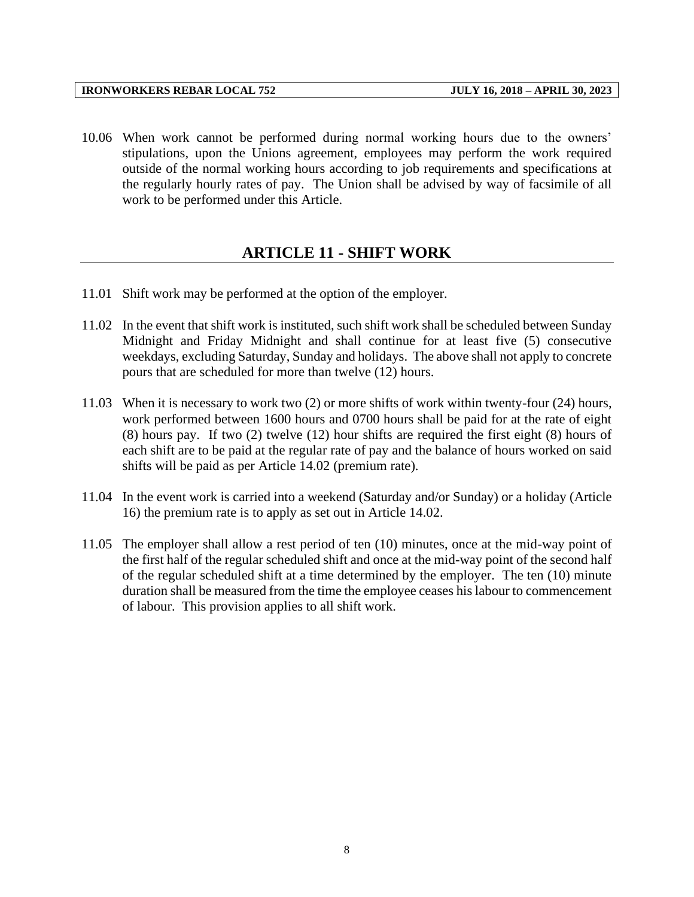10.06 When work cannot be performed during normal working hours due to the owners' stipulations, upon the Unions agreement, employees may perform the work required outside of the normal working hours according to job requirements and specifications at the regularly hourly rates of pay. The Union shall be advised by way of facsimile of all work to be performed under this Article.

#### **ARTICLE 11 - SHIFT WORK**

- <span id="page-10-0"></span>11.01 Shift work may be performed at the option of the employer.
- 11.02 In the event that shift work is instituted, such shift work shall be scheduled between Sunday Midnight and Friday Midnight and shall continue for at least five (5) consecutive weekdays, excluding Saturday, Sunday and holidays. The above shall not apply to concrete pours that are scheduled for more than twelve (12) hours.
- 11.03 When it is necessary to work two (2) or more shifts of work within twenty-four (24) hours, work performed between 1600 hours and 0700 hours shall be paid for at the rate of eight (8) hours pay. If two (2) twelve (12) hour shifts are required the first eight (8) hours of each shift are to be paid at the regular rate of pay and the balance of hours worked on said shifts will be paid as per Article 14.02 (premium rate).
- 11.04 In the event work is carried into a weekend (Saturday and/or Sunday) or a holiday (Article 16) the premium rate is to apply as set out in Article 14.02.
- 11.05 The employer shall allow a rest period of ten (10) minutes, once at the mid-way point of the first half of the regular scheduled shift and once at the mid-way point of the second half of the regular scheduled shift at a time determined by the employer. The ten (10) minute duration shall be measured from the time the employee ceases his labour to commencement of labour. This provision applies to all shift work.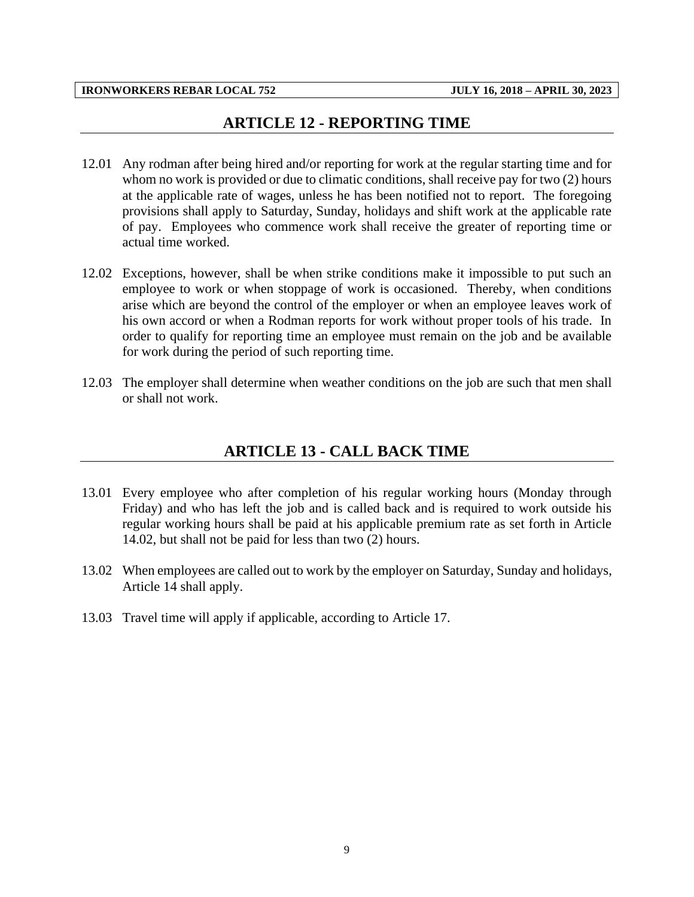## **ARTICLE 12 - REPORTING TIME**

- <span id="page-11-0"></span>12.01 Any rodman after being hired and/or reporting for work at the regular starting time and for whom no work is provided or due to climatic conditions, shall receive pay for two  $(2)$  hours at the applicable rate of wages, unless he has been notified not to report. The foregoing provisions shall apply to Saturday, Sunday, holidays and shift work at the applicable rate of pay. Employees who commence work shall receive the greater of reporting time or actual time worked.
- 12.02 Exceptions, however, shall be when strike conditions make it impossible to put such an employee to work or when stoppage of work is occasioned. Thereby, when conditions arise which are beyond the control of the employer or when an employee leaves work of his own accord or when a Rodman reports for work without proper tools of his trade. In order to qualify for reporting time an employee must remain on the job and be available for work during the period of such reporting time.
- <span id="page-11-1"></span>12.03 The employer shall determine when weather conditions on the job are such that men shall or shall not work.

## **ARTICLE 13 - CALL BACK TIME**

- 13.01 Every employee who after completion of his regular working hours (Monday through Friday) and who has left the job and is called back and is required to work outside his regular working hours shall be paid at his applicable premium rate as set forth in Article 14.02, but shall not be paid for less than two (2) hours.
- 13.02 When employees are called out to work by the employer on Saturday, Sunday and holidays, Article 14 shall apply.
- 13.03 Travel time will apply if applicable, according to Article 17.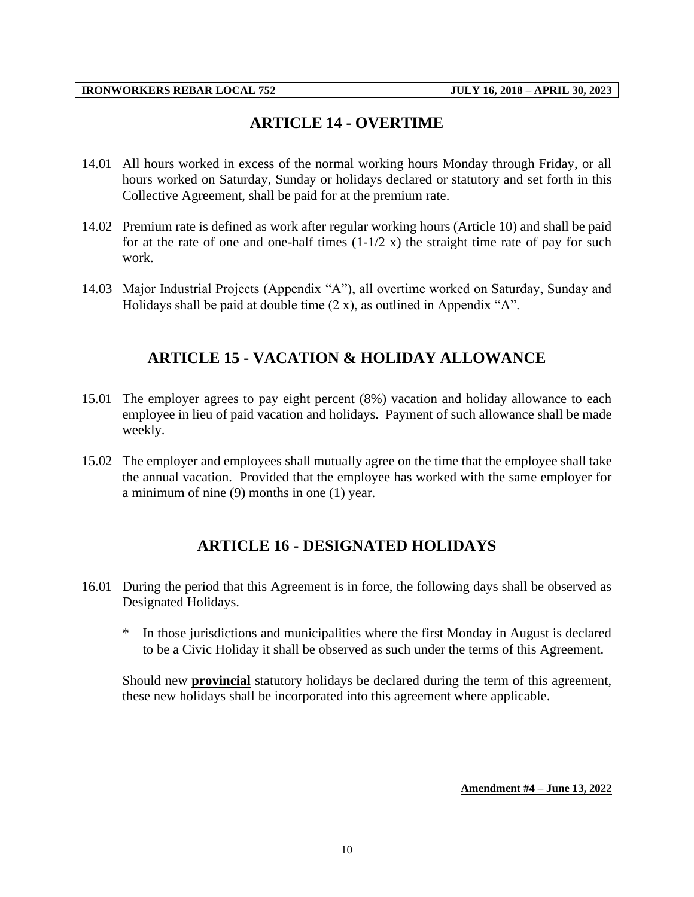## **ARTICLE 14 - OVERTIME**

- <span id="page-12-0"></span>14.01 All hours worked in excess of the normal working hours Monday through Friday, or all hours worked on Saturday, Sunday or holidays declared or statutory and set forth in this Collective Agreement, shall be paid for at the premium rate.
- 14.02 Premium rate is defined as work after regular working hours (Article 10) and shall be paid for at the rate of one and one-half times  $(1-1/2 x)$  the straight time rate of pay for such work.
- <span id="page-12-1"></span>14.03 Major Industrial Projects (Appendix "A"), all overtime worked on Saturday, Sunday and Holidays shall be paid at double time  $(2 x)$ , as outlined in Appendix "A".

## **ARTICLE 15 - VACATION & HOLIDAY ALLOWANCE**

- 15.01 The employer agrees to pay eight percent (8%) vacation and holiday allowance to each employee in lieu of paid vacation and holidays. Payment of such allowance shall be made weekly.
- <span id="page-12-2"></span>15.02 The employer and employees shall mutually agree on the time that the employee shall take the annual vacation. Provided that the employee has worked with the same employer for a minimum of nine (9) months in one (1) year.

#### **ARTICLE 16 - DESIGNATED HOLIDAYS**

- 16.01 During the period that this Agreement is in force, the following days shall be observed as Designated Holidays.
	- \* In those jurisdictions and municipalities where the first Monday in August is declared to be a Civic Holiday it shall be observed as such under the terms of this Agreement.

Should new **provincial** statutory holidays be declared during the term of this agreement, these new holidays shall be incorporated into this agreement where applicable.

#### **Amendment #4 – June 13, 2022**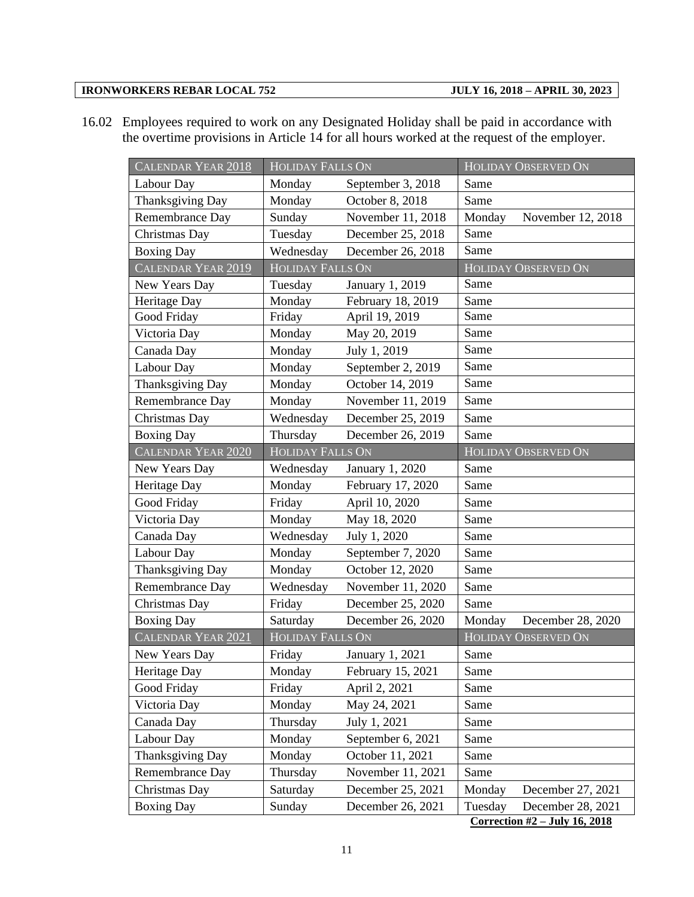16.02 Employees required to work on any Designated Holiday shall be paid in accordance with the overtime provisions in Article 14 for all hours worked at the request of the employer.

| CALENDAR YEAR 2018 | <b>HOLIDAY FALLS ON</b> |                   | <b>HOLIDAY OBSERVED ON</b> |                            |  |  |
|--------------------|-------------------------|-------------------|----------------------------|----------------------------|--|--|
| Labour Day         | Monday                  | September 3, 2018 | Same                       |                            |  |  |
| Thanksgiving Day   | Monday                  | October 8, 2018   | Same                       |                            |  |  |
| Remembrance Day    | Sunday                  | November 11, 2018 | Monday                     | November 12, 2018          |  |  |
| Christmas Day      | Tuesday                 | December 25, 2018 | Same                       |                            |  |  |
| <b>Boxing Day</b>  | Wednesday               | December 26, 2018 | Same                       |                            |  |  |
| CALENDAR YEAR 2019 | <b>HOLIDAY FALLS ON</b> |                   |                            | HOLIDAY OBSERVED ON        |  |  |
| New Years Day      | Tuesday                 | January 1, 2019   | Same                       |                            |  |  |
| Heritage Day       | Monday                  | February 18, 2019 | Same                       |                            |  |  |
| Good Friday        | Friday                  | April 19, 2019    | Same                       |                            |  |  |
| Victoria Day       | Monday                  | May 20, 2019      | Same                       |                            |  |  |
| Canada Day         | Monday                  | July 1, 2019      | Same                       |                            |  |  |
| Labour Day         | Monday                  | September 2, 2019 | Same                       |                            |  |  |
| Thanksgiving Day   | Monday                  | October 14, 2019  | Same                       |                            |  |  |
| Remembrance Day    | Monday                  | November 11, 2019 | Same                       |                            |  |  |
| Christmas Day      | Wednesday               | December 25, 2019 | Same                       |                            |  |  |
| <b>Boxing Day</b>  | Thursday                | December 26, 2019 | Same                       |                            |  |  |
| CALENDAR YEAR 2020 | <b>HOLIDAY FALLS ON</b> |                   |                            | HOLIDAY OBSERVED ON        |  |  |
| New Years Day      | Wednesday               | January 1, 2020   | Same                       |                            |  |  |
| Heritage Day       | Monday                  | February 17, 2020 | Same                       |                            |  |  |
| Good Friday        | Friday                  | April 10, 2020    | Same                       |                            |  |  |
| Victoria Day       | Monday                  | May 18, 2020      | Same                       |                            |  |  |
| Canada Day         | Wednesday               | July 1, 2020      | Same                       |                            |  |  |
| Labour Day         | Monday                  | September 7, 2020 | Same                       |                            |  |  |
| Thanksgiving Day   | Monday                  | October 12, 2020  | Same                       |                            |  |  |
| Remembrance Day    | Wednesday               | November 11, 2020 | Same                       |                            |  |  |
| Christmas Day      | Friday                  | December 25, 2020 | Same                       |                            |  |  |
| <b>Boxing Day</b>  | Saturday                | December 26, 2020 | Monday                     | December 28, 2020          |  |  |
| CALENDAR YEAR 2021 | <b>HOLIDAY FALLS ON</b> |                   |                            | <b>HOLIDAY OBSERVED ON</b> |  |  |
| New Years Day      | Friday                  | January 1, 2021   | Same                       |                            |  |  |
| Heritage Day       | Monday                  | February 15, 2021 | Same                       |                            |  |  |
| Good Friday        | Friday                  | April 2, 2021     | Same                       |                            |  |  |
| Victoria Day       | Monday                  | May 24, 2021      | Same                       |                            |  |  |
| Canada Day         | Thursday                | July 1, 2021      | Same                       |                            |  |  |
| Labour Day         | Monday                  | September 6, 2021 | Same                       |                            |  |  |
| Thanksgiving Day   | Monday                  | October 11, 2021  | Same                       |                            |  |  |
| Remembrance Day    | Thursday                | November 11, 2021 | Same                       |                            |  |  |
| Christmas Day      | Saturday                | December 25, 2021 | Monday                     | December 27, 2021          |  |  |
| <b>Boxing Day</b>  | Sunday                  | December 26, 2021 | Tuesday                    | December 28, 2021          |  |  |
|                    |                         |                   |                            |                            |  |  |

**Correction #2 – July 16, 2018**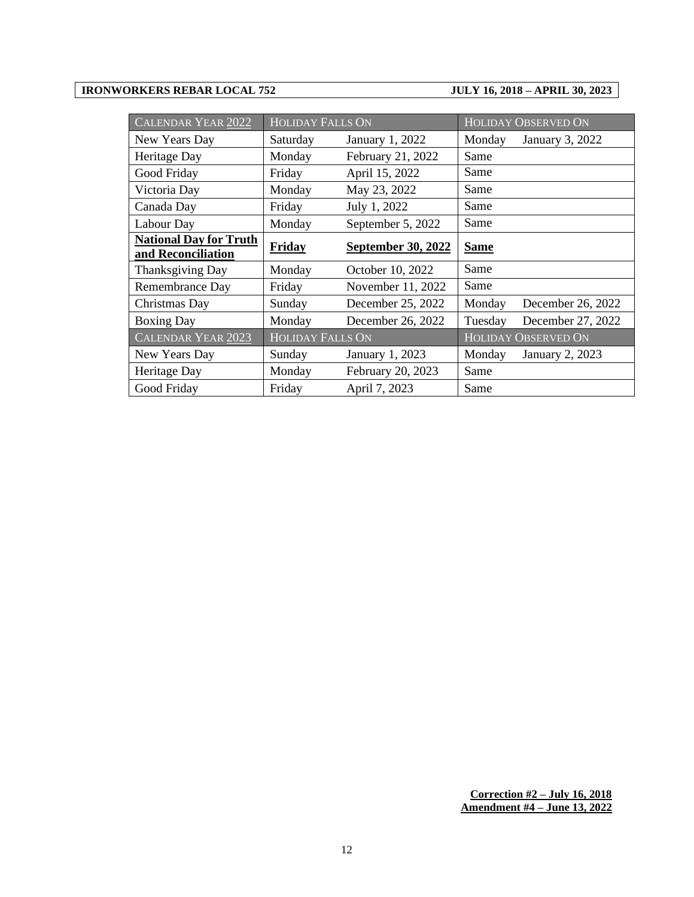| <b>CALENDAR YEAR 2022</b>                           | <b>HOLIDAY FALLS ON</b> |                           |             | <b>HOLIDAY OBSERVED ON</b> |
|-----------------------------------------------------|-------------------------|---------------------------|-------------|----------------------------|
| New Years Day                                       | Saturday                | January 1, 2022           | Monday      | January 3, 2022            |
| Heritage Day                                        | Monday                  | February 21, 2022         | Same        |                            |
| Good Friday                                         | Friday                  | April 15, 2022            | Same        |                            |
| Victoria Day                                        | Monday                  | May 23, 2022              | Same        |                            |
| Canada Day                                          | Friday                  | July 1, 2022              | Same        |                            |
| Labour Day                                          | Monday                  | September 5, 2022         | Same        |                            |
| <b>National Day for Truth</b><br>and Reconciliation | Friday                  | <b>September 30, 2022</b> | <b>Same</b> |                            |
| Thanksgiving Day                                    | Monday                  | October 10, 2022          | Same        |                            |
| Remembrance Day                                     | Friday                  | November 11, 2022         | Same        |                            |
| Christmas Day                                       | Sunday                  | December 25, 2022         | Monday      | December 26, 2022          |
| <b>Boxing Day</b>                                   | Monday                  | December 26, 2022         | Tuesday     | December 27, 2022          |
| <b>CALENDAR YEAR 2023</b>                           | <b>HOLIDAY FALLS ON</b> |                           |             | <b>HOLIDAY OBSERVED ON</b> |
| New Years Day                                       | Sunday                  | January 1, 2023           | Monday      | <b>January 2, 2023</b>     |
| Heritage Day                                        | Monday                  | February 20, 2023         | Same        |                            |
| Good Friday                                         | Friday                  | April 7, 2023             | Same        |                            |

**Correction #2 – July 16, 2018 Amendment #4 – June 13, 2022**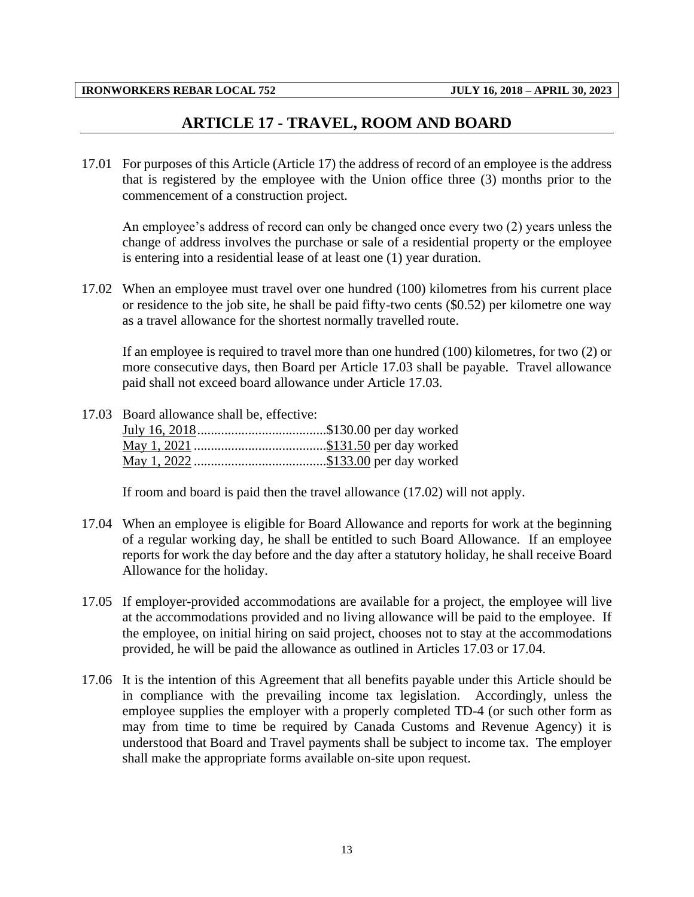### **ARTICLE 17 - TRAVEL, ROOM AND BOARD**

<span id="page-15-0"></span>17.01 For purposes of this Article (Article 17) the address of record of an employee is the address that is registered by the employee with the Union office three (3) months prior to the commencement of a construction project.

An employee's address of record can only be changed once every two (2) years unless the change of address involves the purchase or sale of a residential property or the employee is entering into a residential lease of at least one (1) year duration.

17.02 When an employee must travel over one hundred (100) kilometres from his current place or residence to the job site, he shall be paid fifty-two cents (\$0.52) per kilometre one way as a travel allowance for the shortest normally travelled route.

If an employee is required to travel more than one hundred (100) kilometres, for two (2) or more consecutive days, then Board per Article 17.03 shall be payable. Travel allowance paid shall not exceed board allowance under Article 17.03.

17.03 Board allowance shall be, effective:

If room and board is paid then the travel allowance (17.02) will not apply.

- 17.04 When an employee is eligible for Board Allowance and reports for work at the beginning of a regular working day, he shall be entitled to such Board Allowance. If an employee reports for work the day before and the day after a statutory holiday, he shall receive Board Allowance for the holiday.
- 17.05 If employer-provided accommodations are available for a project, the employee will live at the accommodations provided and no living allowance will be paid to the employee. If the employee, on initial hiring on said project, chooses not to stay at the accommodations provided, he will be paid the allowance as outlined in Articles 17.03 or 17.04.
- 17.06 It is the intention of this Agreement that all benefits payable under this Article should be in compliance with the prevailing income tax legislation. Accordingly, unless the employee supplies the employer with a properly completed TD-4 (or such other form as may from time to time be required by Canada Customs and Revenue Agency) it is understood that Board and Travel payments shall be subject to income tax. The employer shall make the appropriate forms available on-site upon request.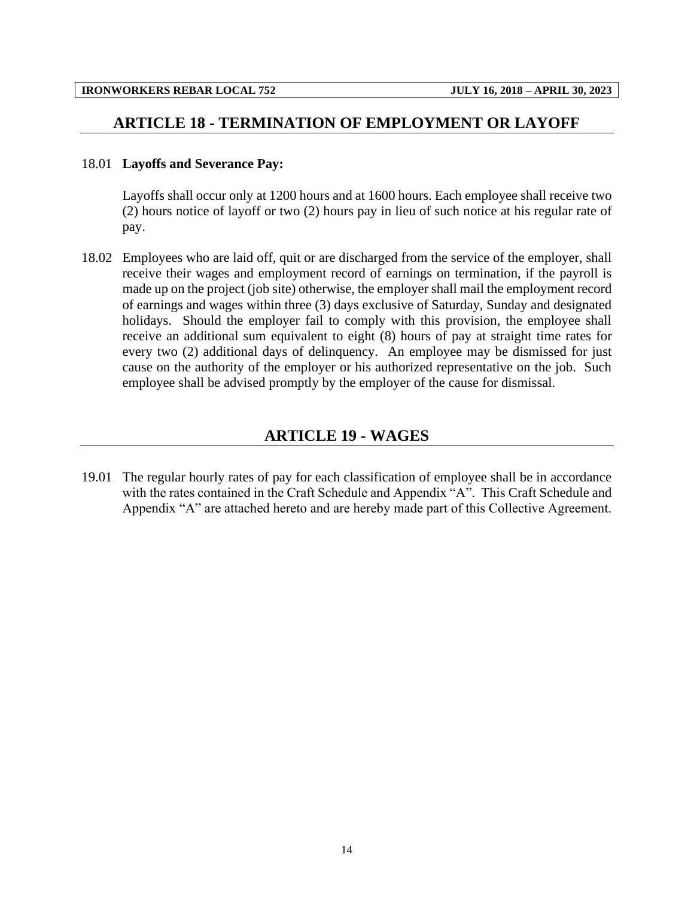#### <span id="page-16-0"></span>**ARTICLE 18 - TERMINATION OF EMPLOYMENT OR LAYOFF**

#### 18.01 **Layoffs and Severance Pay:**

Layoffs shall occur only at 1200 hours and at 1600 hours. Each employee shall receive two (2) hours notice of layoff or two (2) hours pay in lieu of such notice at his regular rate of pay.

18.02 Employees who are laid off, quit or are discharged from the service of the employer, shall receive their wages and employment record of earnings on termination, if the payroll is made up on the project (job site) otherwise, the employer shall mail the employment record of earnings and wages within three (3) days exclusive of Saturday, Sunday and designated holidays. Should the employer fail to comply with this provision, the employee shall receive an additional sum equivalent to eight (8) hours of pay at straight time rates for every two (2) additional days of delinquency. An employee may be dismissed for just cause on the authority of the employer or his authorized representative on the job. Such employee shall be advised promptly by the employer of the cause for dismissal.

#### **ARTICLE 19 - WAGES**

<span id="page-16-1"></span>19.01 The regular hourly rates of pay for each classification of employee shall be in accordance with the rates contained in the Craft Schedule and Appendix "A". This Craft Schedule and Appendix "A" are attached hereto and are hereby made part of this Collective Agreement.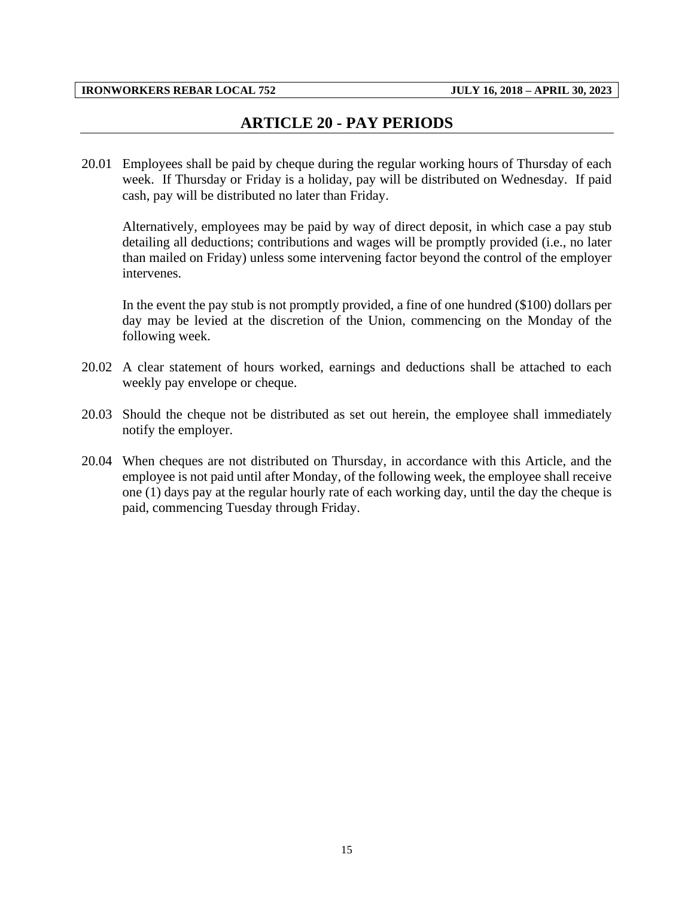## **ARTICLE 20 - PAY PERIODS**

<span id="page-17-0"></span>20.01 Employees shall be paid by cheque during the regular working hours of Thursday of each week. If Thursday or Friday is a holiday, pay will be distributed on Wednesday. If paid cash, pay will be distributed no later than Friday.

Alternatively, employees may be paid by way of direct deposit, in which case a pay stub detailing all deductions; contributions and wages will be promptly provided (i.e., no later than mailed on Friday) unless some intervening factor beyond the control of the employer intervenes.

In the event the pay stub is not promptly provided, a fine of one hundred (\$100) dollars per day may be levied at the discretion of the Union, commencing on the Monday of the following week.

- 20.02 A clear statement of hours worked, earnings and deductions shall be attached to each weekly pay envelope or cheque.
- 20.03 Should the cheque not be distributed as set out herein, the employee shall immediately notify the employer.
- 20.04 When cheques are not distributed on Thursday, in accordance with this Article, and the employee is not paid until after Monday, of the following week, the employee shall receive one (1) days pay at the regular hourly rate of each working day, until the day the cheque is paid, commencing Tuesday through Friday.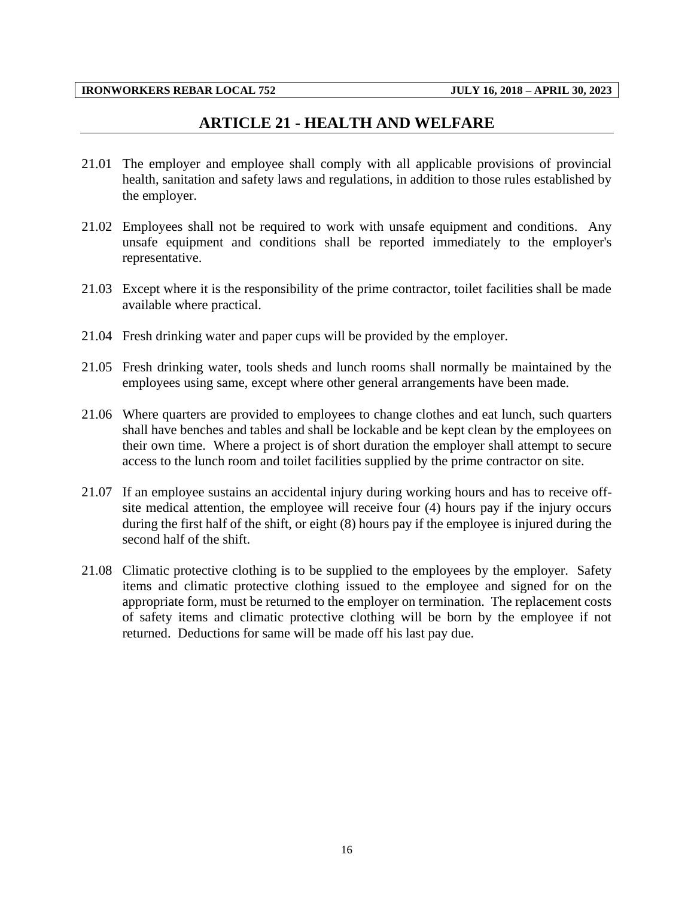#### **ARTICLE 21 - HEALTH AND WELFARE**

- <span id="page-18-0"></span>21.01 The employer and employee shall comply with all applicable provisions of provincial health, sanitation and safety laws and regulations, in addition to those rules established by the employer.
- 21.02 Employees shall not be required to work with unsafe equipment and conditions. Any unsafe equipment and conditions shall be reported immediately to the employer's representative.
- 21.03 Except where it is the responsibility of the prime contractor, toilet facilities shall be made available where practical.
- 21.04 Fresh drinking water and paper cups will be provided by the employer.
- 21.05 Fresh drinking water, tools sheds and lunch rooms shall normally be maintained by the employees using same, except where other general arrangements have been made.
- 21.06 Where quarters are provided to employees to change clothes and eat lunch, such quarters shall have benches and tables and shall be lockable and be kept clean by the employees on their own time. Where a project is of short duration the employer shall attempt to secure access to the lunch room and toilet facilities supplied by the prime contractor on site.
- 21.07 If an employee sustains an accidental injury during working hours and has to receive offsite medical attention, the employee will receive four (4) hours pay if the injury occurs during the first half of the shift, or eight (8) hours pay if the employee is injured during the second half of the shift.
- 21.08 Climatic protective clothing is to be supplied to the employees by the employer. Safety items and climatic protective clothing issued to the employee and signed for on the appropriate form, must be returned to the employer on termination. The replacement costs of safety items and climatic protective clothing will be born by the employee if not returned. Deductions for same will be made off his last pay due.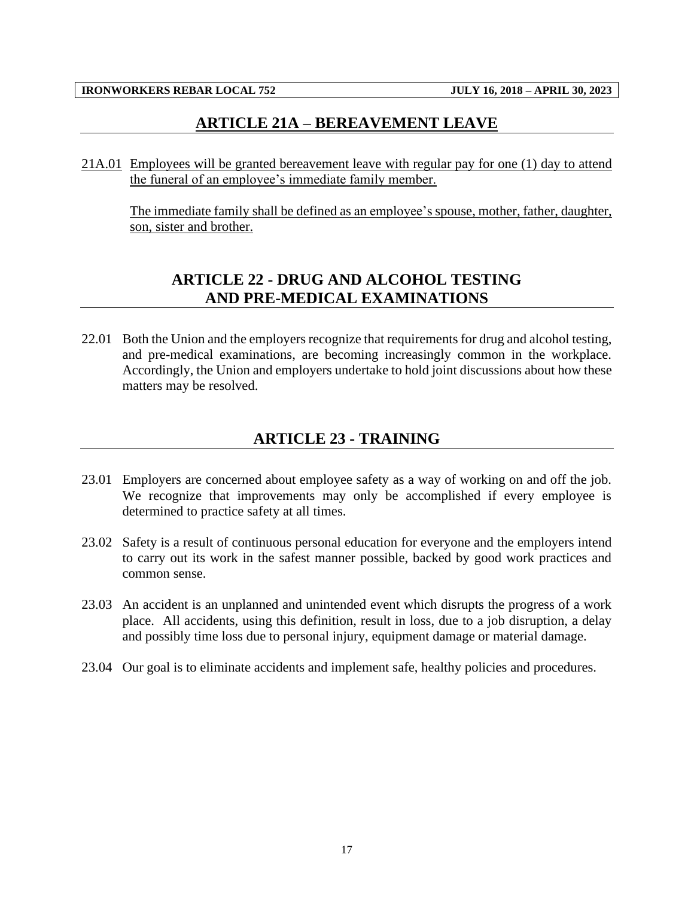## **ARTICLE 21A – BEREAVEMENT LEAVE**

<span id="page-19-0"></span>21A.01 Employees will be granted bereavement leave with regular pay for one (1) day to attend the funeral of an employee's immediate family member.

<span id="page-19-1"></span>The immediate family shall be defined as an employee's spouse, mother, father, daughter, son, sister and brother.

## **ARTICLE 22 - DRUG AND ALCOHOL TESTING AND PRE-MEDICAL EXAMINATIONS**

22.01 Both the Union and the employers recognize that requirements for drug and alcohol testing, and pre-medical examinations, are becoming increasingly common in the workplace. Accordingly, the Union and employers undertake to hold joint discussions about how these matters may be resolved.

## **ARTICLE 23 - TRAINING**

- <span id="page-19-2"></span>23.01 Employers are concerned about employee safety as a way of working on and off the job. We recognize that improvements may only be accomplished if every employee is determined to practice safety at all times.
- 23.02 Safety is a result of continuous personal education for everyone and the employers intend to carry out its work in the safest manner possible, backed by good work practices and common sense.
- 23.03 An accident is an unplanned and unintended event which disrupts the progress of a work place. All accidents, using this definition, result in loss, due to a job disruption, a delay and possibly time loss due to personal injury, equipment damage or material damage.
- 23.04 Our goal is to eliminate accidents and implement safe, healthy policies and procedures.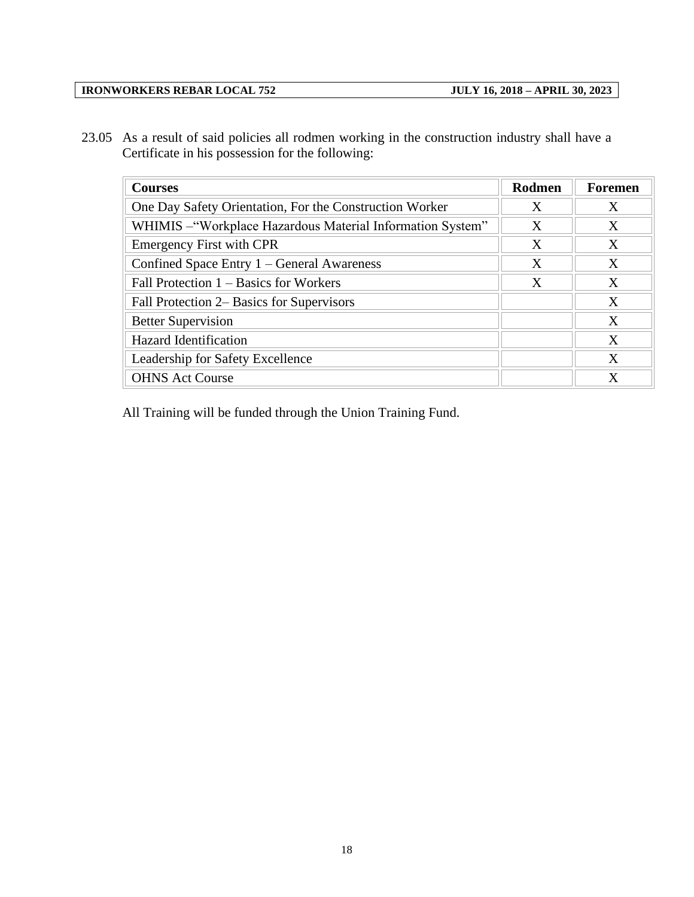23.05 As a result of said policies all rodmen working in the construction industry shall have a Certificate in his possession for the following:

| <b>Courses</b>                                             | Rodmen | <b>Foremen</b> |
|------------------------------------------------------------|--------|----------------|
| One Day Safety Orientation, For the Construction Worker    | X      | X              |
| WHIMIS - "Workplace Hazardous Material Information System" | X      | X              |
| <b>Emergency First with CPR</b>                            | X      | X              |
| Confined Space Entry 1 – General Awareness                 | X      | X              |
| Fall Protection $1 -$ Basics for Workers                   | X      | X              |
| Fall Protection 2– Basics for Supervisors                  |        | X              |
| <b>Better Supervision</b>                                  |        | X              |
| <b>Hazard Identification</b>                               |        | X              |
| Leadership for Safety Excellence                           |        | X              |
| <b>OHNS Act Course</b>                                     |        | X              |

All Training will be funded through the Union Training Fund.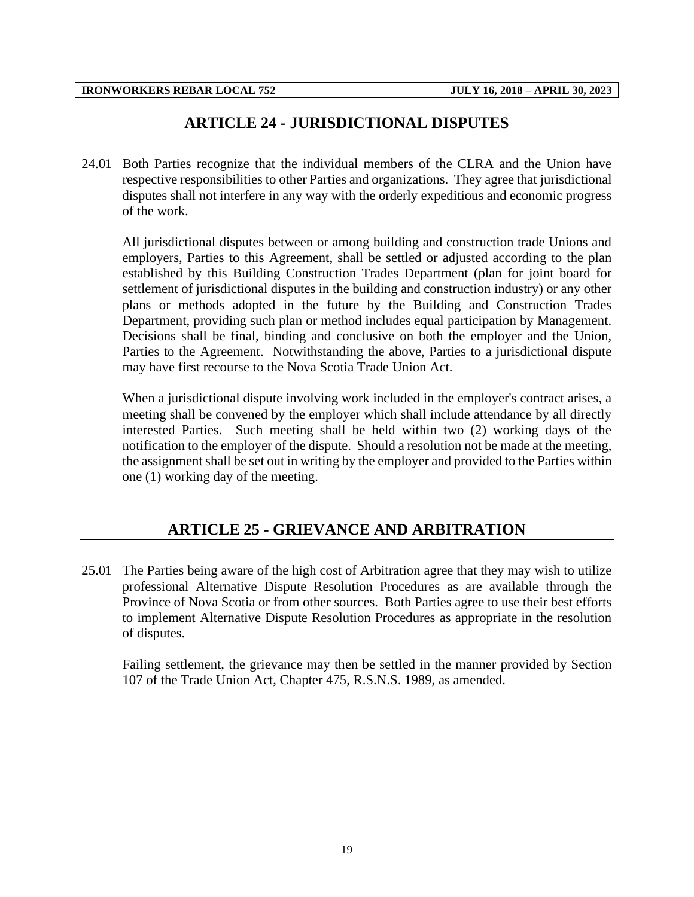#### **ARTICLE 24 - JURISDICTIONAL DISPUTES**

<span id="page-21-0"></span>24.01 Both Parties recognize that the individual members of the CLRA and the Union have respective responsibilities to other Parties and organizations. They agree that jurisdictional disputes shall not interfere in any way with the orderly expeditious and economic progress of the work.

All jurisdictional disputes between or among building and construction trade Unions and employers, Parties to this Agreement, shall be settled or adjusted according to the plan established by this Building Construction Trades Department (plan for joint board for settlement of jurisdictional disputes in the building and construction industry) or any other plans or methods adopted in the future by the Building and Construction Trades Department, providing such plan or method includes equal participation by Management. Decisions shall be final, binding and conclusive on both the employer and the Union, Parties to the Agreement. Notwithstanding the above, Parties to a jurisdictional dispute may have first recourse to the Nova Scotia Trade Union Act.

When a jurisdictional dispute involving work included in the employer's contract arises, a meeting shall be convened by the employer which shall include attendance by all directly interested Parties. Such meeting shall be held within two (2) working days of the notification to the employer of the dispute. Should a resolution not be made at the meeting, the assignment shall be set out in writing by the employer and provided to the Parties within one (1) working day of the meeting.

#### **ARTICLE 25 - GRIEVANCE AND ARBITRATION**

<span id="page-21-1"></span>25.01 The Parties being aware of the high cost of Arbitration agree that they may wish to utilize professional Alternative Dispute Resolution Procedures as are available through the Province of Nova Scotia or from other sources. Both Parties agree to use their best efforts to implement Alternative Dispute Resolution Procedures as appropriate in the resolution of disputes.

Failing settlement, the grievance may then be settled in the manner provided by Section 107 of the Trade Union Act, Chapter 475, R.S.N.S. 1989, as amended.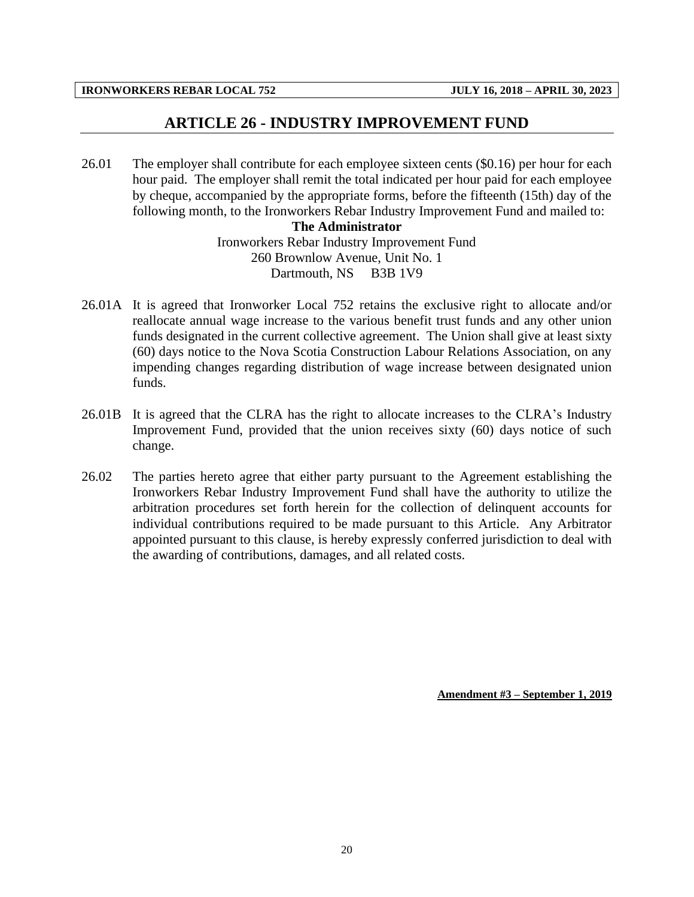#### **ARTICLE 26 - INDUSTRY IMPROVEMENT FUND**

<span id="page-22-0"></span>26.01 The employer shall contribute for each employee sixteen cents (\$0.16) per hour for each hour paid. The employer shall remit the total indicated per hour paid for each employee by cheque, accompanied by the appropriate forms, before the fifteenth (15th) day of the following month, to the Ironworkers Rebar Industry Improvement Fund and mailed to:

#### **The Administrator**

Ironworkers Rebar Industry Improvement Fund 260 Brownlow Avenue, Unit No. 1 Dartmouth, NS B3B 1V9

- 26.01A It is agreed that Ironworker Local 752 retains the exclusive right to allocate and/or reallocate annual wage increase to the various benefit trust funds and any other union funds designated in the current collective agreement. The Union shall give at least sixty (60) days notice to the Nova Scotia Construction Labour Relations Association, on any impending changes regarding distribution of wage increase between designated union funds.
- 26.01B It is agreed that the CLRA has the right to allocate increases to the CLRA's Industry Improvement Fund, provided that the union receives sixty (60) days notice of such change.
- 26.02 The parties hereto agree that either party pursuant to the Agreement establishing the Ironworkers Rebar Industry Improvement Fund shall have the authority to utilize the arbitration procedures set forth herein for the collection of delinquent accounts for individual contributions required to be made pursuant to this Article. Any Arbitrator appointed pursuant to this clause, is hereby expressly conferred jurisdiction to deal with the awarding of contributions, damages, and all related costs.

**Amendment #3 – September 1, 2019**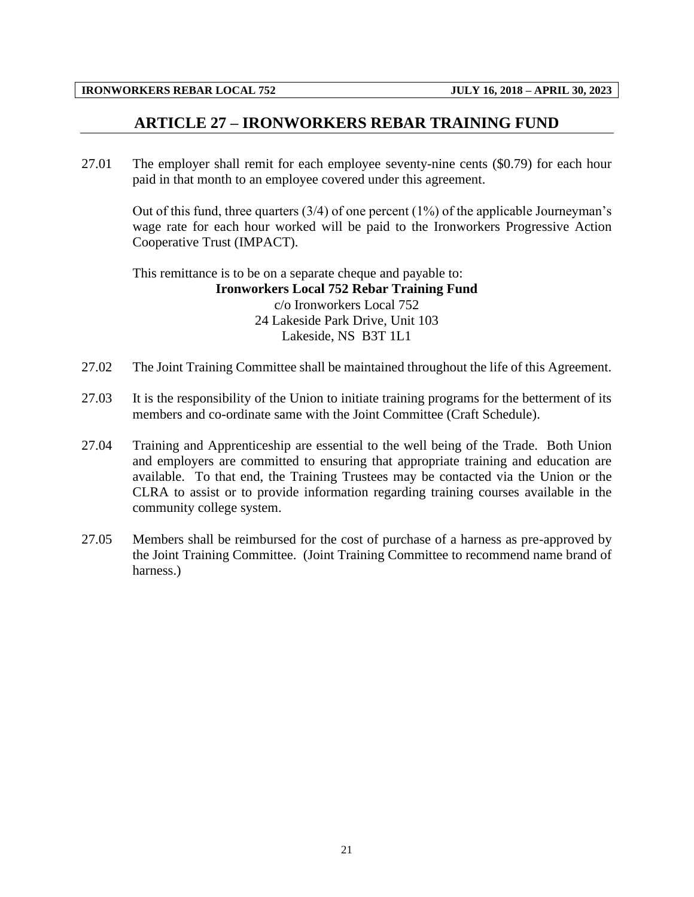#### **ARTICLE 27 – IRONWORKERS REBAR TRAINING FUND**

<span id="page-23-0"></span>27.01 The employer shall remit for each employee seventy-nine cents (\$0.79) for each hour paid in that month to an employee covered under this agreement.

Out of this fund, three quarters  $(3/4)$  of one percent  $(1%)$  of the applicable Journeyman's wage rate for each hour worked will be paid to the Ironworkers Progressive Action Cooperative Trust (IMPACT).

This remittance is to be on a separate cheque and payable to: **Ironworkers Local 752 Rebar Training Fund** c/o Ironworkers Local 752 24 Lakeside Park Drive, Unit 103 Lakeside, NS B3T 1L1

- 27.02 The Joint Training Committee shall be maintained throughout the life of this Agreement.
- 27.03 It is the responsibility of the Union to initiate training programs for the betterment of its members and co-ordinate same with the Joint Committee (Craft Schedule).
- 27.04 Training and Apprenticeship are essential to the well being of the Trade. Both Union and employers are committed to ensuring that appropriate training and education are available. To that end, the Training Trustees may be contacted via the Union or the CLRA to assist or to provide information regarding training courses available in the community college system.
- 27.05 Members shall be reimbursed for the cost of purchase of a harness as pre-approved by the Joint Training Committee. (Joint Training Committee to recommend name brand of harness.)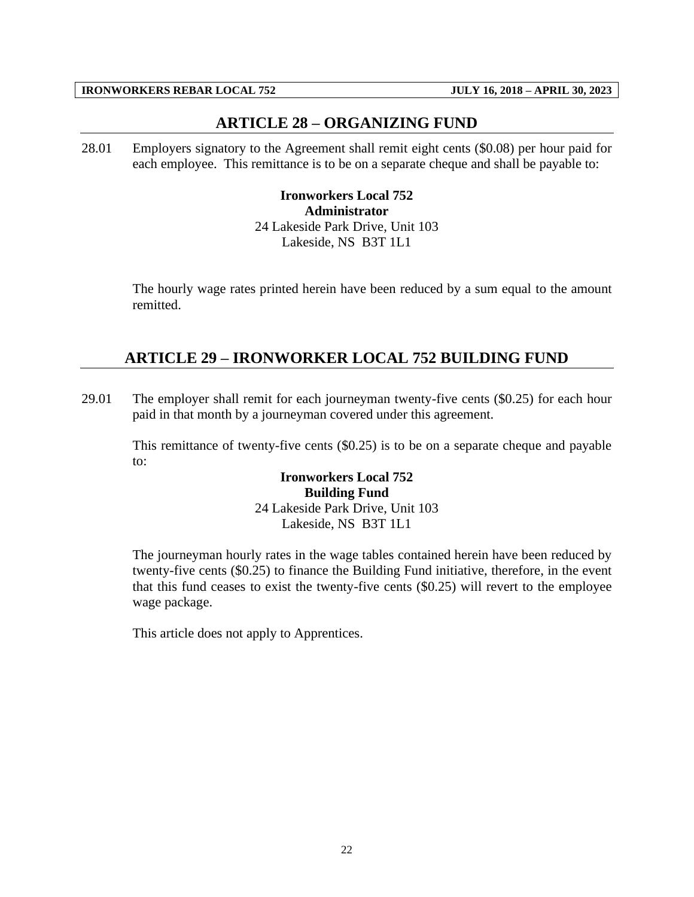#### **ARTICLE 28 – ORGANIZING FUND**

<span id="page-24-0"></span>28.01 Employers signatory to the Agreement shall remit eight cents (\$0.08) per hour paid for each employee. This remittance is to be on a separate cheque and shall be payable to:

> **Ironworkers Local 752 Administrator** 24 Lakeside Park Drive, Unit 103 Lakeside, NS B3T 1L1

The hourly wage rates printed herein have been reduced by a sum equal to the amount remitted.

## <span id="page-24-1"></span>**ARTICLE 29 – IRONWORKER LOCAL 752 BUILDING FUND**

29.01 The employer shall remit for each journeyman twenty-five cents (\$0.25) for each hour paid in that month by a journeyman covered under this agreement.

This remittance of twenty-five cents (\$0.25) is to be on a separate cheque and payable to:

> **Ironworkers Local 752 Building Fund** 24 Lakeside Park Drive, Unit 103 Lakeside, NS B3T 1L1

The journeyman hourly rates in the wage tables contained herein have been reduced by twenty-five cents (\$0.25) to finance the Building Fund initiative, therefore, in the event that this fund ceases to exist the twenty-five cents (\$0.25) will revert to the employee wage package.

This article does not apply to Apprentices.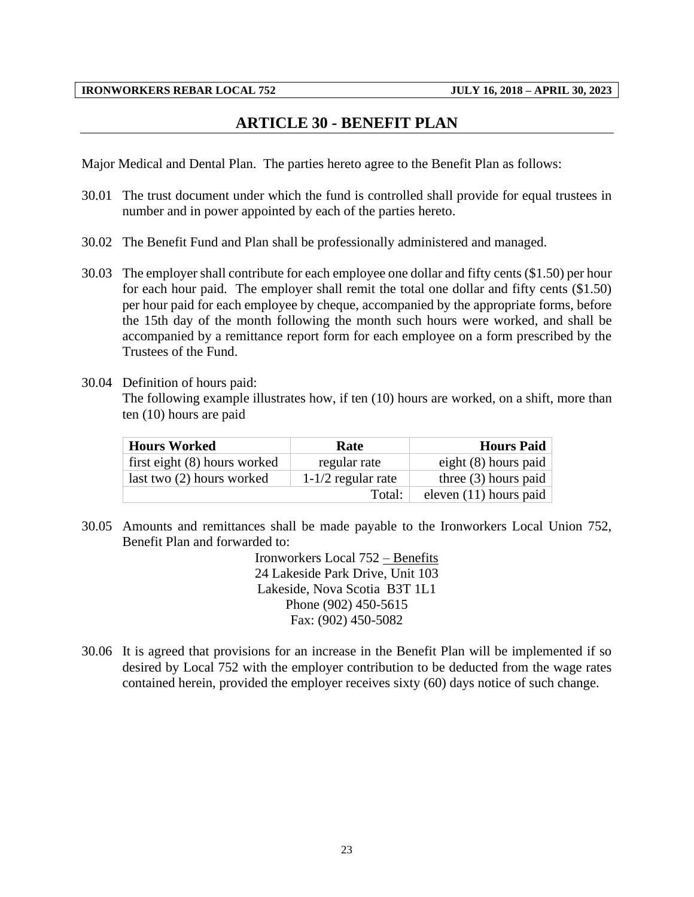#### **ARTICLE 30 - BENEFIT PLAN**

<span id="page-25-0"></span>Major Medical and Dental Plan. The parties hereto agree to the Benefit Plan as follows:

- 30.01 The trust document under which the fund is controlled shall provide for equal trustees in number and in power appointed by each of the parties hereto.
- 30.02 The Benefit Fund and Plan shall be professionally administered and managed.
- 30.03 The employer shall contribute for each employee one dollar and fifty cents (\$1.50) per hour for each hour paid. The employer shall remit the total one dollar and fifty cents (\$1.50) per hour paid for each employee by cheque, accompanied by the appropriate forms, before the 15th day of the month following the month such hours were worked, and shall be accompanied by a remittance report form for each employee on a form prescribed by the Trustees of the Fund.
- 30.04 Definition of hours paid:

The following example illustrates how, if ten (10) hours are worked, on a shift, more than ten (10) hours are paid

| <b>Hours Worked</b>          | Rate                 | <b>Hours Paid</b>        |  |  |
|------------------------------|----------------------|--------------------------|--|--|
| first eight (8) hours worked | regular rate         | eight $(8)$ hours paid   |  |  |
| last two $(2)$ hours worked  | $1-1/2$ regular rate | three $(3)$ hours paid   |  |  |
|                              | Total:               | eleven $(11)$ hours paid |  |  |

30.05 Amounts and remittances shall be made payable to the Ironworkers Local Union 752, Benefit Plan and forwarded to:

> Ironworkers Local 752 – Benefits 24 Lakeside Park Drive, Unit 103 Lakeside, Nova Scotia B3T 1L1 Phone (902) 450-5615 Fax: (902) 450-5082

30.06 It is agreed that provisions for an increase in the Benefit Plan will be implemented if so desired by Local 752 with the employer contribution to be deducted from the wage rates contained herein, provided the employer receives sixty (60) days notice of such change.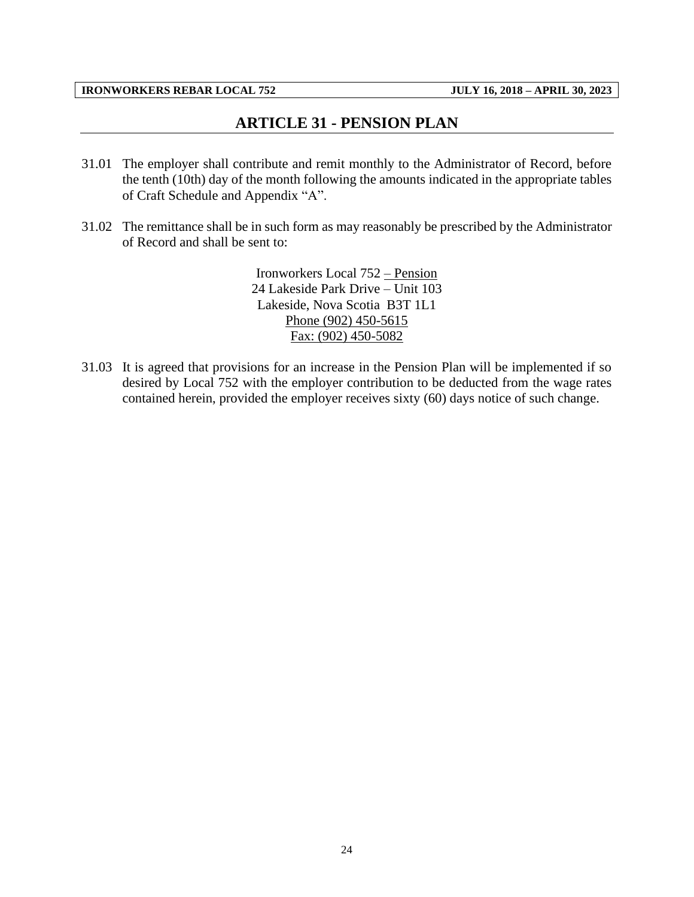## **ARTICLE 31 - PENSION PLAN**

- <span id="page-26-0"></span>31.01 The employer shall contribute and remit monthly to the Administrator of Record, before the tenth (10th) day of the month following the amounts indicated in the appropriate tables of Craft Schedule and Appendix "A".
- 31.02 The remittance shall be in such form as may reasonably be prescribed by the Administrator of Record and shall be sent to:

Ironworkers Local 752 – Pension 24 Lakeside Park Drive – Unit 103 Lakeside, Nova Scotia B3T 1L1 Phone (902) 450-5615 Fax: (902) 450-5082

31.03 It is agreed that provisions for an increase in the Pension Plan will be implemented if so desired by Local 752 with the employer contribution to be deducted from the wage rates contained herein, provided the employer receives sixty (60) days notice of such change.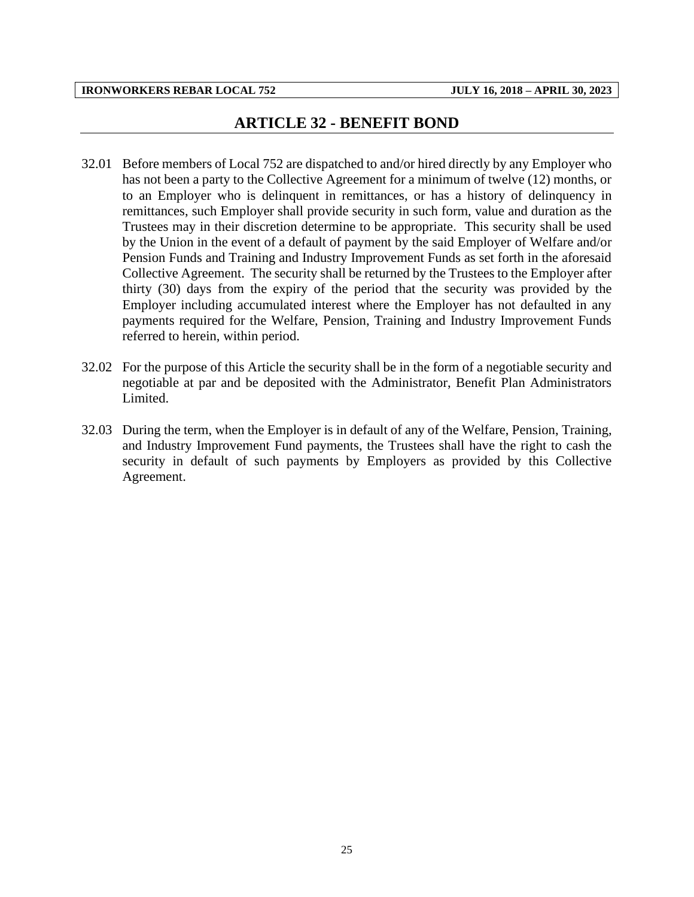### **ARTICLE 32 - BENEFIT BOND**

- <span id="page-27-0"></span>32.01 Before members of Local 752 are dispatched to and/or hired directly by any Employer who has not been a party to the Collective Agreement for a minimum of twelve (12) months, or to an Employer who is delinquent in remittances, or has a history of delinquency in remittances, such Employer shall provide security in such form, value and duration as the Trustees may in their discretion determine to be appropriate. This security shall be used by the Union in the event of a default of payment by the said Employer of Welfare and/or Pension Funds and Training and Industry Improvement Funds as set forth in the aforesaid Collective Agreement. The security shall be returned by the Trustees to the Employer after thirty (30) days from the expiry of the period that the security was provided by the Employer including accumulated interest where the Employer has not defaulted in any payments required for the Welfare, Pension, Training and Industry Improvement Funds referred to herein, within period.
- 32.02 For the purpose of this Article the security shall be in the form of a negotiable security and negotiable at par and be deposited with the Administrator, Benefit Plan Administrators Limited.
- 32.03 During the term, when the Employer is in default of any of the Welfare, Pension, Training, and Industry Improvement Fund payments, the Trustees shall have the right to cash the security in default of such payments by Employers as provided by this Collective Agreement.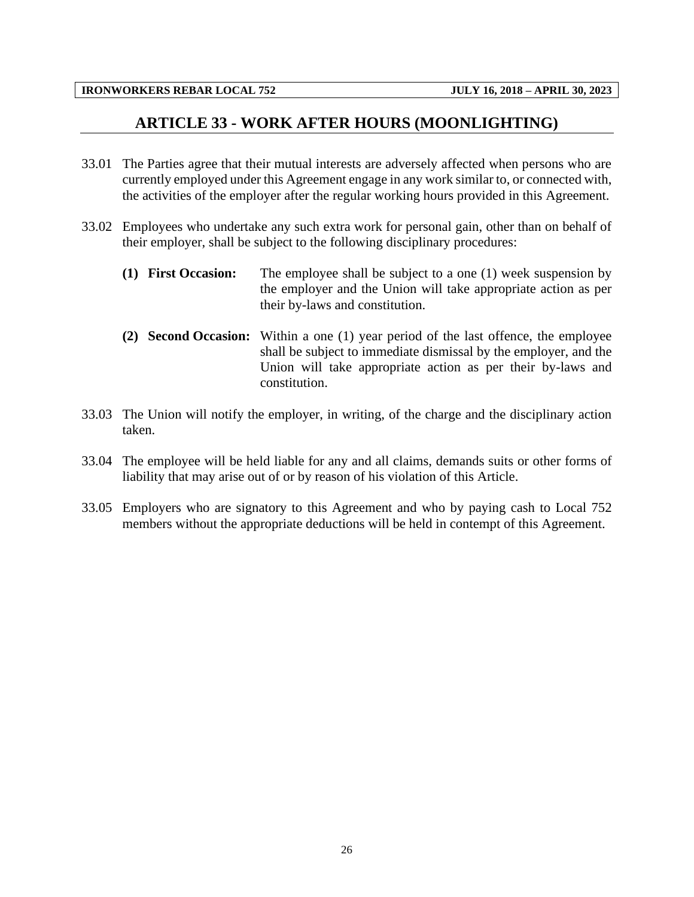#### **ARTICLE 33 - WORK AFTER HOURS (MOONLIGHTING)**

- <span id="page-28-0"></span>33.01 The Parties agree that their mutual interests are adversely affected when persons who are currently employed under this Agreement engage in any work similar to, or connected with, the activities of the employer after the regular working hours provided in this Agreement.
- 33.02 Employees who undertake any such extra work for personal gain, other than on behalf of their employer, shall be subject to the following disciplinary procedures:
	- **(1) First Occasion:** The employee shall be subject to a one (1) week suspension by the employer and the Union will take appropriate action as per their by-laws and constitution.
	- **(2) Second Occasion:** Within a one (1) year period of the last offence, the employee shall be subject to immediate dismissal by the employer, and the Union will take appropriate action as per their by-laws and constitution.
- 33.03 The Union will notify the employer, in writing, of the charge and the disciplinary action taken.
- 33.04 The employee will be held liable for any and all claims, demands suits or other forms of liability that may arise out of or by reason of his violation of this Article.
- 33.05 Employers who are signatory to this Agreement and who by paying cash to Local 752 members without the appropriate deductions will be held in contempt of this Agreement.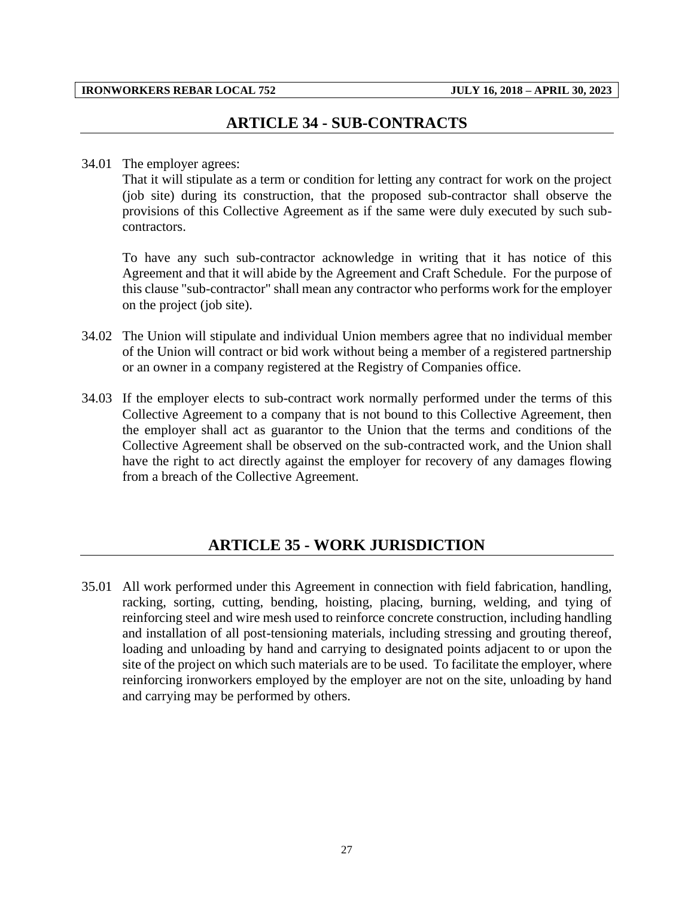### **ARTICLE 34 - SUB-CONTRACTS**

#### <span id="page-29-0"></span>34.01 The employer agrees:

That it will stipulate as a term or condition for letting any contract for work on the project (job site) during its construction, that the proposed sub-contractor shall observe the provisions of this Collective Agreement as if the same were duly executed by such subcontractors.

To have any such sub-contractor acknowledge in writing that it has notice of this Agreement and that it will abide by the Agreement and Craft Schedule. For the purpose of this clause "sub-contractor" shall mean any contractor who performs work for the employer on the project (job site).

- 34.02 The Union will stipulate and individual Union members agree that no individual member of the Union will contract or bid work without being a member of a registered partnership or an owner in a company registered at the Registry of Companies office.
- 34.03 If the employer elects to sub-contract work normally performed under the terms of this Collective Agreement to a company that is not bound to this Collective Agreement, then the employer shall act as guarantor to the Union that the terms and conditions of the Collective Agreement shall be observed on the sub-contracted work, and the Union shall have the right to act directly against the employer for recovery of any damages flowing from a breach of the Collective Agreement.

#### **ARTICLE 35 - WORK JURISDICTION**

<span id="page-29-1"></span>35.01 All work performed under this Agreement in connection with field fabrication, handling, racking, sorting, cutting, bending, hoisting, placing, burning, welding, and tying of reinforcing steel and wire mesh used to reinforce concrete construction, including handling and installation of all post-tensioning materials, including stressing and grouting thereof, loading and unloading by hand and carrying to designated points adjacent to or upon the site of the project on which such materials are to be used. To facilitate the employer, where reinforcing ironworkers employed by the employer are not on the site, unloading by hand and carrying may be performed by others.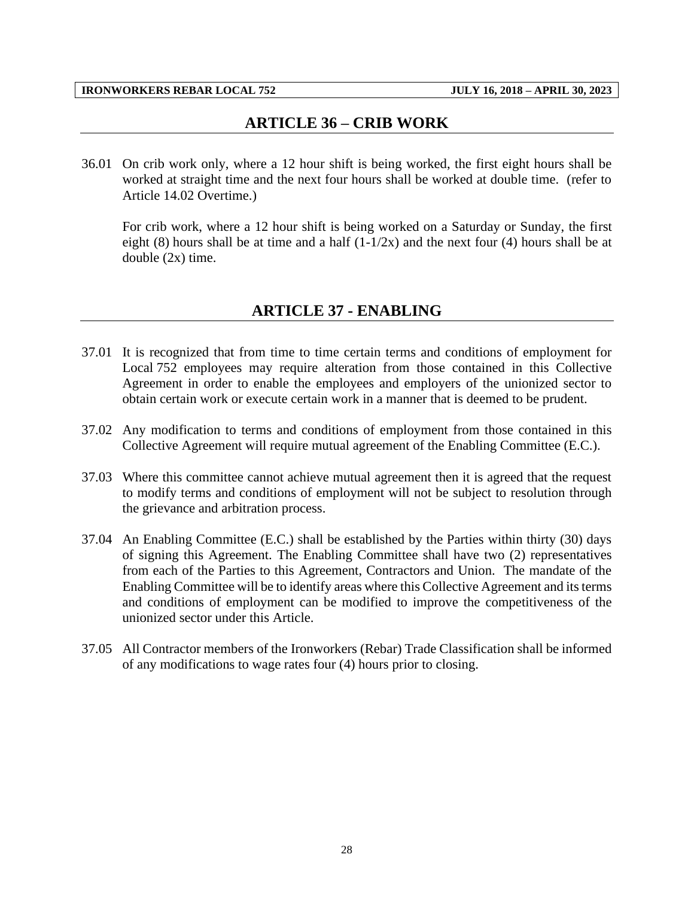#### **ARTICLE 36 – CRIB WORK**

<span id="page-30-0"></span>36.01 On crib work only, where a 12 hour shift is being worked, the first eight hours shall be worked at straight time and the next four hours shall be worked at double time. (refer to Article 14.02 Overtime.)

For crib work, where a 12 hour shift is being worked on a Saturday or Sunday, the first eight (8) hours shall be at time and a half  $(1-1/2x)$  and the next four (4) hours shall be at double (2x) time.

#### **ARTICLE 37 - ENABLING**

- <span id="page-30-1"></span>37.01 It is recognized that from time to time certain terms and conditions of employment for Local 752 employees may require alteration from those contained in this Collective Agreement in order to enable the employees and employers of the unionized sector to obtain certain work or execute certain work in a manner that is deemed to be prudent.
- 37.02 Any modification to terms and conditions of employment from those contained in this Collective Agreement will require mutual agreement of the Enabling Committee (E.C.).
- 37.03 Where this committee cannot achieve mutual agreement then it is agreed that the request to modify terms and conditions of employment will not be subject to resolution through the grievance and arbitration process.
- 37.04 An Enabling Committee (E.C.) shall be established by the Parties within thirty (30) days of signing this Agreement. The Enabling Committee shall have two (2) representatives from each of the Parties to this Agreement, Contractors and Union. The mandate of the Enabling Committee will be to identify areas where this Collective Agreement and its terms and conditions of employment can be modified to improve the competitiveness of the unionized sector under this Article.
- 37.05 All Contractor members of the Ironworkers (Rebar) Trade Classification shall be informed of any modifications to wage rates four (4) hours prior to closing.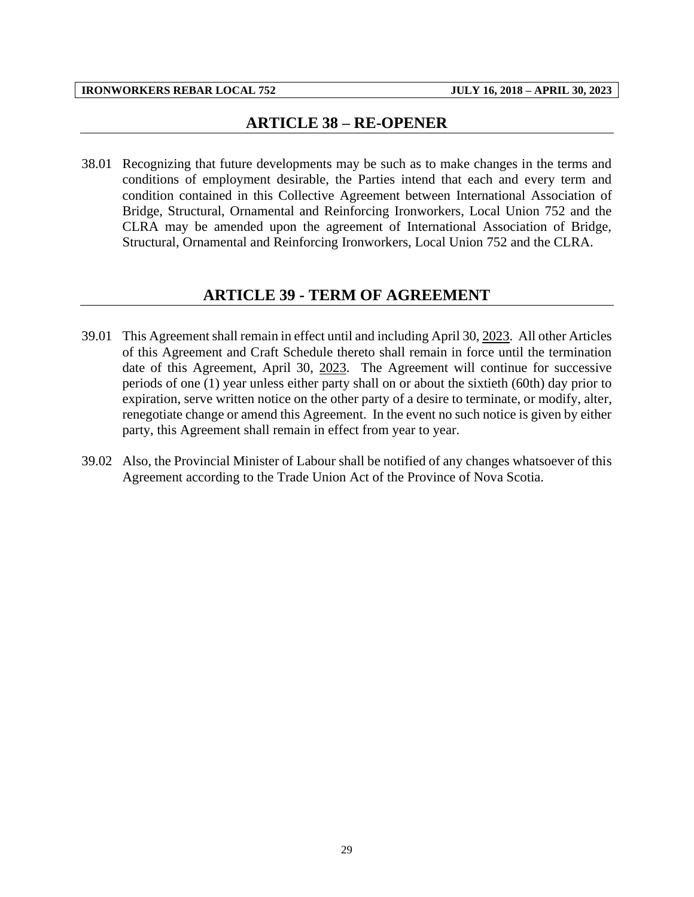#### **ARTICLE 38 – RE-OPENER**

<span id="page-31-0"></span>38.01 Recognizing that future developments may be such as to make changes in the terms and conditions of employment desirable, the Parties intend that each and every term and condition contained in this Collective Agreement between International Association of Bridge, Structural, Ornamental and Reinforcing Ironworkers, Local Union 752 and the CLRA may be amended upon the agreement of International Association of Bridge, Structural, Ornamental and Reinforcing Ironworkers, Local Union 752 and the CLRA.

#### **ARTICLE 39 - TERM OF AGREEMENT**

- <span id="page-31-1"></span>39.01 This Agreement shall remain in effect until and including April 30, 2023. All other Articles of this Agreement and Craft Schedule thereto shall remain in force until the termination date of this Agreement, April 30, 2023. The Agreement will continue for successive periods of one (1) year unless either party shall on or about the sixtieth (60th) day prior to expiration, serve written notice on the other party of a desire to terminate, or modify, alter, renegotiate change or amend this Agreement. In the event no such notice is given by either party, this Agreement shall remain in effect from year to year.
- 39.02 Also, the Provincial Minister of Labour shall be notified of any changes whatsoever of this Agreement according to the Trade Union Act of the Province of Nova Scotia.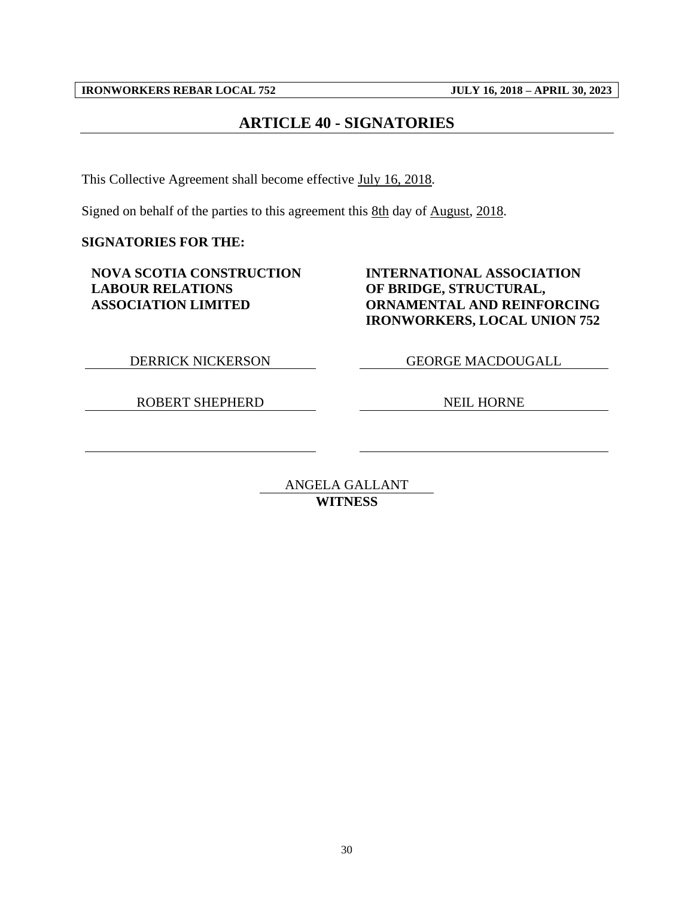## **ARTICLE 40 - SIGNATORIES**

<span id="page-32-0"></span>This Collective Agreement shall become effective July 16, 2018.

Signed on behalf of the parties to this agreement this 8th day of August, 2018.

**SIGNATORIES FOR THE:**

**NOVA SCOTIA CONSTRUCTION LABOUR RELATIONS ASSOCIATION LIMITED**

#### **INTERNATIONAL ASSOCIATION OF BRIDGE, STRUCTURAL, ORNAMENTAL AND REINFORCING IRONWORKERS, LOCAL UNION 752**

DERRICK NICKERSON GEORGE MACDOUGALL

ROBERT SHEPHERD NEIL HORNE

ANGELA GALLANT **WITNESS**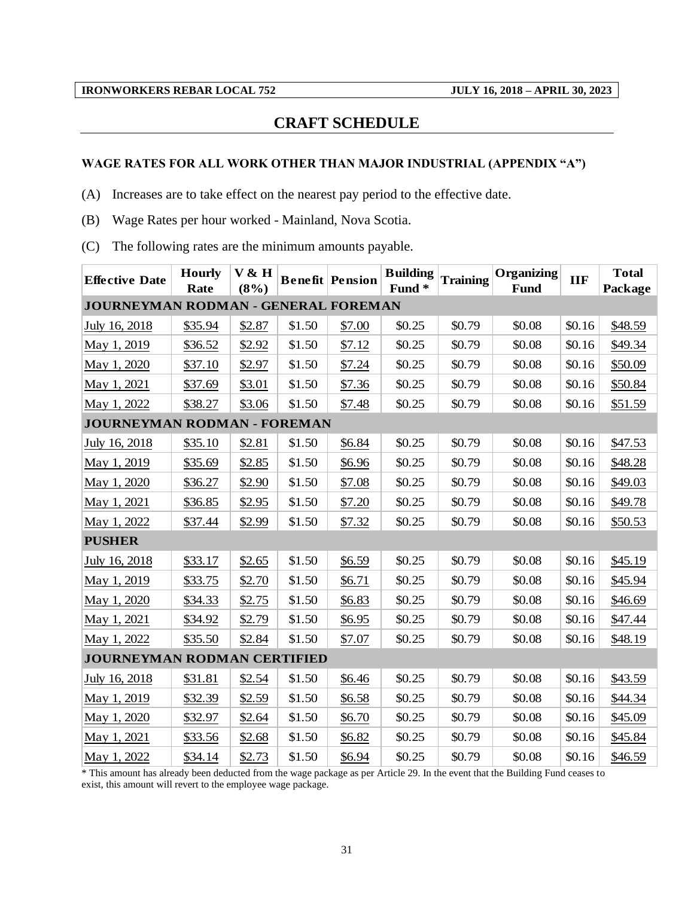#### **CRAFT SCHEDULE**

#### <span id="page-33-0"></span>**WAGE RATES FOR ALL WORK OTHER THAN MAJOR INDUSTRIAL (APPENDIX "A")**

(A) Increases are to take effect on the nearest pay period to the effective date.

(B) Wage Rates per hour worked - Mainland, Nova Scotia.

(C) The following rates are the minimum amounts payable.

| <b>Effective Date</b>               | <b>Hourly</b><br>Rate | V & H<br>(8%) |        | <b>Benefit Pension</b> | <b>Building</b><br>Fund <sup>*</sup> | <b>Training</b> | Organizing<br><b>Fund</b> | <b>IIF</b> | <b>Total</b><br>Package |
|-------------------------------------|-----------------------|---------------|--------|------------------------|--------------------------------------|-----------------|---------------------------|------------|-------------------------|
| JOURNEYMAN RODMAN - GENERAL FOREMAN |                       |               |        |                        |                                      |                 |                           |            |                         |
| July 16, 2018                       | \$35.94               | \$2.87        | \$1.50 | \$7.00                 | \$0.25                               | \$0.79          | \$0.08                    | \$0.16     | \$48.59                 |
| May 1, 2019                         | \$36.52               | \$2.92        | \$1.50 | \$7.12                 | \$0.25                               | \$0.79          | \$0.08                    | \$0.16     | \$49.34                 |
| May 1, 2020                         | \$37.10               | \$2.97        | \$1.50 | \$7.24                 | \$0.25                               | \$0.79          | \$0.08                    | \$0.16     | \$50.09                 |
| May 1, 2021                         | \$37.69               | \$3.01        | \$1.50 | \$7.36                 | \$0.25                               | \$0.79          | \$0.08                    | \$0.16     | \$50.84                 |
| May 1, 2022                         | \$38.27               | \$3.06        | \$1.50 | \$7.48                 | \$0.25                               | \$0.79          | \$0.08                    | \$0.16     | \$51.59                 |
| <b>JOURNEYMAN RODMAN - FOREMAN</b>  |                       |               |        |                        |                                      |                 |                           |            |                         |
| July 16, 2018                       | \$35.10               | \$2.81        | \$1.50 | \$6.84                 | \$0.25                               | \$0.79          | \$0.08                    | \$0.16     | \$47.53                 |
| May 1, 2019                         | \$35.69               | \$2.85        | \$1.50 | \$6.96                 | \$0.25                               | \$0.79          | \$0.08                    | \$0.16     | \$48.28                 |
| May 1, 2020                         | \$36.27               | \$2.90        | \$1.50 | \$7.08                 | \$0.25                               | \$0.79          | \$0.08                    | \$0.16     | \$49.03                 |
| May 1, 2021                         | \$36.85               | \$2.95        | \$1.50 | \$7.20                 | \$0.25                               | \$0.79          | \$0.08                    | \$0.16     | \$49.78                 |
| May 1, 2022                         | \$37.44               | \$2.99        | \$1.50 | \$7.32                 | \$0.25                               | \$0.79          | \$0.08                    | \$0.16     | \$50.53                 |
| <b>PUSHER</b>                       |                       |               |        |                        |                                      |                 |                           |            |                         |
| July 16, 2018                       | \$33.17               | \$2.65        | \$1.50 | \$6.59                 | \$0.25                               | \$0.79          | \$0.08                    | \$0.16     | \$45.19                 |
| May 1, 2019                         | \$33.75               | \$2.70        | \$1.50 | \$6.71                 | \$0.25                               | \$0.79          | \$0.08                    | \$0.16     | \$45.94                 |
| May 1, 2020                         | \$34.33               | \$2.75        | \$1.50 | \$6.83                 | \$0.25                               | \$0.79          | \$0.08                    | \$0.16     | \$46.69                 |
| May 1, 2021                         | \$34.92               | \$2.79        | \$1.50 | \$6.95                 | \$0.25                               | \$0.79          | \$0.08                    | \$0.16     | \$47.44                 |
| May 1, 2022                         | \$35.50               | \$2.84        | \$1.50 | \$7.07                 | \$0.25                               | \$0.79          | \$0.08                    | \$0.16     | \$48.19                 |
| JOURNEYMAN RODMAN CERTIFIED         |                       |               |        |                        |                                      |                 |                           |            |                         |
| July 16, 2018                       | \$31.81               | \$2.54        | \$1.50 | \$6.46                 | \$0.25                               | \$0.79          | \$0.08                    | \$0.16     | \$43.59                 |
| May 1, 2019                         | \$32.39               | \$2.59        | \$1.50 | \$6.58                 | \$0.25                               | \$0.79          | \$0.08                    | \$0.16     | \$44.34                 |
| May 1, 2020                         | \$32.97               | \$2.64        | \$1.50 | \$6.70                 | \$0.25                               | \$0.79          | \$0.08                    | \$0.16     | \$45.09                 |
| May 1, 2021                         | \$33.56               | \$2.68        | \$1.50 | \$6.82                 | \$0.25                               | \$0.79          | \$0.08                    | \$0.16     | \$45.84                 |
| May 1, 2022                         | \$34.14               | \$2.73        | \$1.50 | \$6.94                 | \$0.25                               | \$0.79          | \$0.08                    | \$0.16     | \$46.59                 |

\* This amount has already been deducted from the wage package as per Article 29. In the event that the Building Fund ceases to exist, this amount will revert to the employee wage package.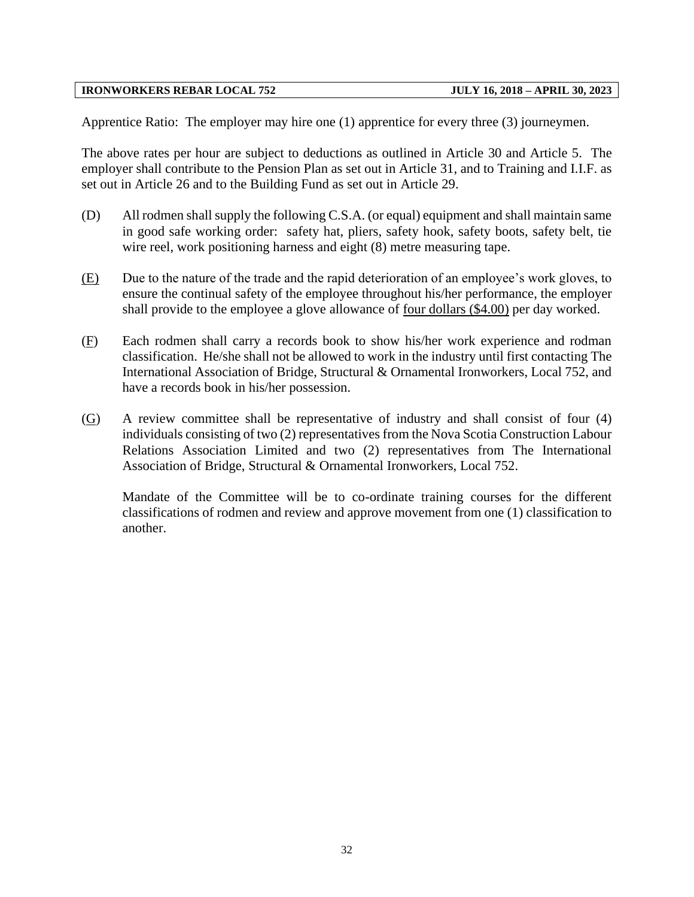Apprentice Ratio: The employer may hire one (1) apprentice for every three (3) journeymen.

The above rates per hour are subject to deductions as outlined in Article 30 and Article 5. The employer shall contribute to the Pension Plan as set out in Article 31, and to Training and I.I.F. as set out in Article 26 and to the Building Fund as set out in Article 29.

- (D) All rodmen shall supply the following C.S.A. (or equal) equipment and shall maintain same in good safe working order: safety hat, pliers, safety hook, safety boots, safety belt, tie wire reel, work positioning harness and eight (8) metre measuring tape.
- (E) Due to the nature of the trade and the rapid deterioration of an employee's work gloves, to ensure the continual safety of the employee throughout his/her performance, the employer shall provide to the employee a glove allowance of four dollars (\$4.00) per day worked.
- (F) Each rodmen shall carry a records book to show his/her work experience and rodman classification. He/she shall not be allowed to work in the industry until first contacting The International Association of Bridge, Structural & Ornamental Ironworkers, Local 752, and have a records book in his/her possession.
- (G) A review committee shall be representative of industry and shall consist of four (4) individuals consisting of two (2) representatives from the Nova Scotia Construction Labour Relations Association Limited and two (2) representatives from The International Association of Bridge, Structural & Ornamental Ironworkers, Local 752.

Mandate of the Committee will be to co-ordinate training courses for the different classifications of rodmen and review and approve movement from one (1) classification to another.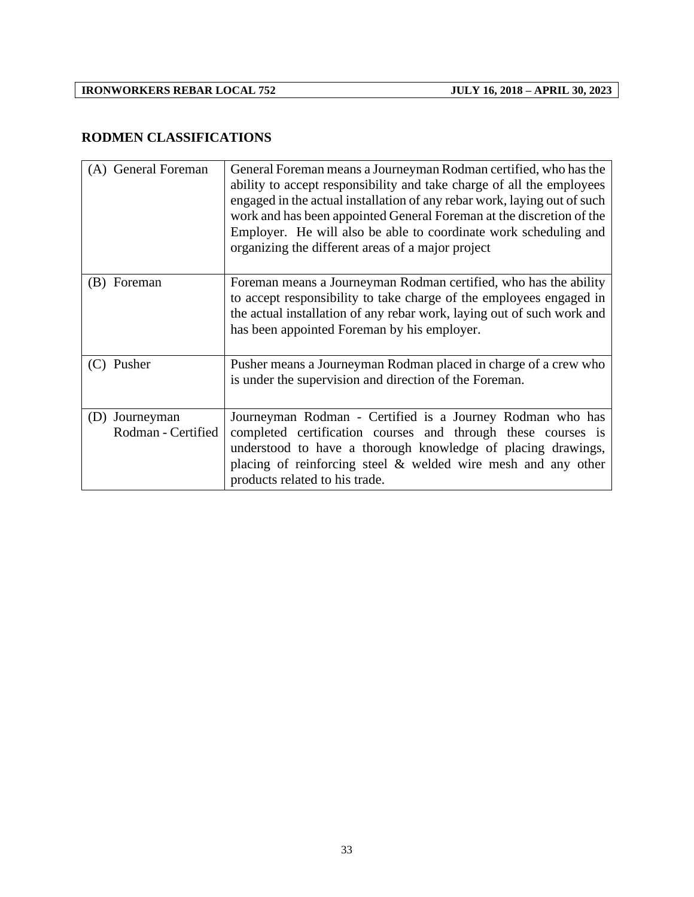## **RODMEN CLASSIFICATIONS**

| (A) General Foreman                     | General Foreman means a Journeyman Rodman certified, who has the<br>ability to accept responsibility and take charge of all the employees<br>engaged in the actual installation of any rebar work, laying out of such<br>work and has been appointed General Foreman at the discretion of the<br>Employer. He will also be able to coordinate work scheduling and<br>organizing the different areas of a major project |
|-----------------------------------------|------------------------------------------------------------------------------------------------------------------------------------------------------------------------------------------------------------------------------------------------------------------------------------------------------------------------------------------------------------------------------------------------------------------------|
| (B) Foreman                             | Foreman means a Journeyman Rodman certified, who has the ability<br>to accept responsibility to take charge of the employees engaged in<br>the actual installation of any rebar work, laying out of such work and<br>has been appointed Foreman by his employer.                                                                                                                                                       |
| Pusher<br>(C)                           | Pusher means a Journeyman Rodman placed in charge of a crew who<br>is under the supervision and direction of the Foreman.                                                                                                                                                                                                                                                                                              |
| Journeyman<br>(D)<br>Rodman - Certified | Journeyman Rodman - Certified is a Journey Rodman who has<br>completed certification courses and through these courses is<br>understood to have a thorough knowledge of placing drawings,<br>placing of reinforcing steel $\&$ welded wire mesh and any other<br>products related to his trade.                                                                                                                        |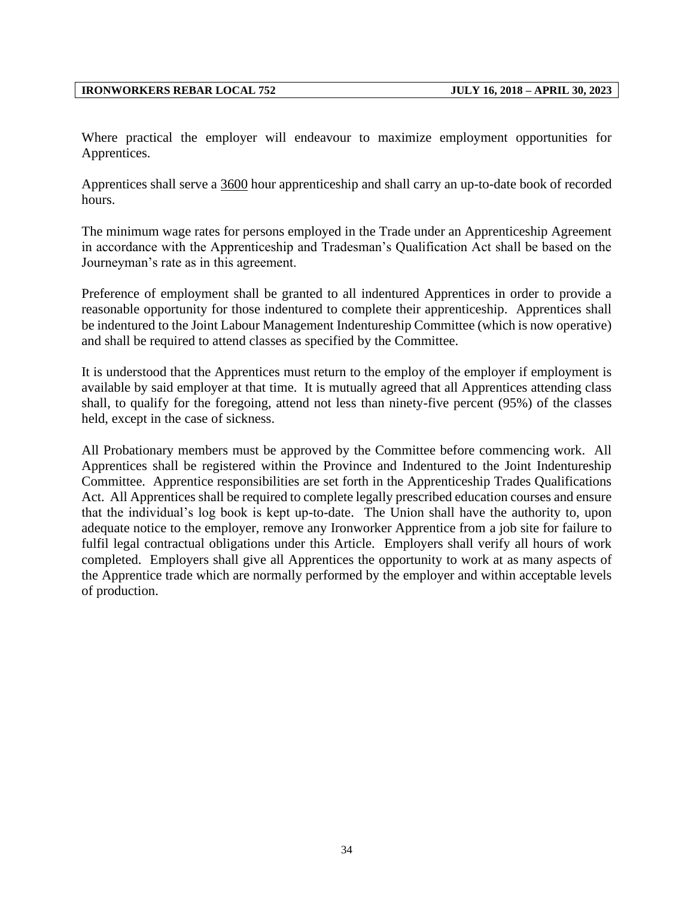Where practical the employer will endeavour to maximize employment opportunities for Apprentices.

Apprentices shall serve a 3600 hour apprenticeship and shall carry an up-to-date book of recorded hours.

The minimum wage rates for persons employed in the Trade under an Apprenticeship Agreement in accordance with the Apprenticeship and Tradesman's Qualification Act shall be based on the Journeyman's rate as in this agreement.

Preference of employment shall be granted to all indentured Apprentices in order to provide a reasonable opportunity for those indentured to complete their apprenticeship. Apprentices shall be indentured to the Joint Labour Management Indentureship Committee (which is now operative) and shall be required to attend classes as specified by the Committee.

It is understood that the Apprentices must return to the employ of the employer if employment is available by said employer at that time. It is mutually agreed that all Apprentices attending class shall, to qualify for the foregoing, attend not less than ninety-five percent (95%) of the classes held, except in the case of sickness.

All Probationary members must be approved by the Committee before commencing work. All Apprentices shall be registered within the Province and Indentured to the Joint Indentureship Committee. Apprentice responsibilities are set forth in the Apprenticeship Trades Qualifications Act. All Apprentices shall be required to complete legally prescribed education courses and ensure that the individual's log book is kept up-to-date. The Union shall have the authority to, upon adequate notice to the employer, remove any Ironworker Apprentice from a job site for failure to fulfil legal contractual obligations under this Article. Employers shall verify all hours of work completed. Employers shall give all Apprentices the opportunity to work at as many aspects of the Apprentice trade which are normally performed by the employer and within acceptable levels of production.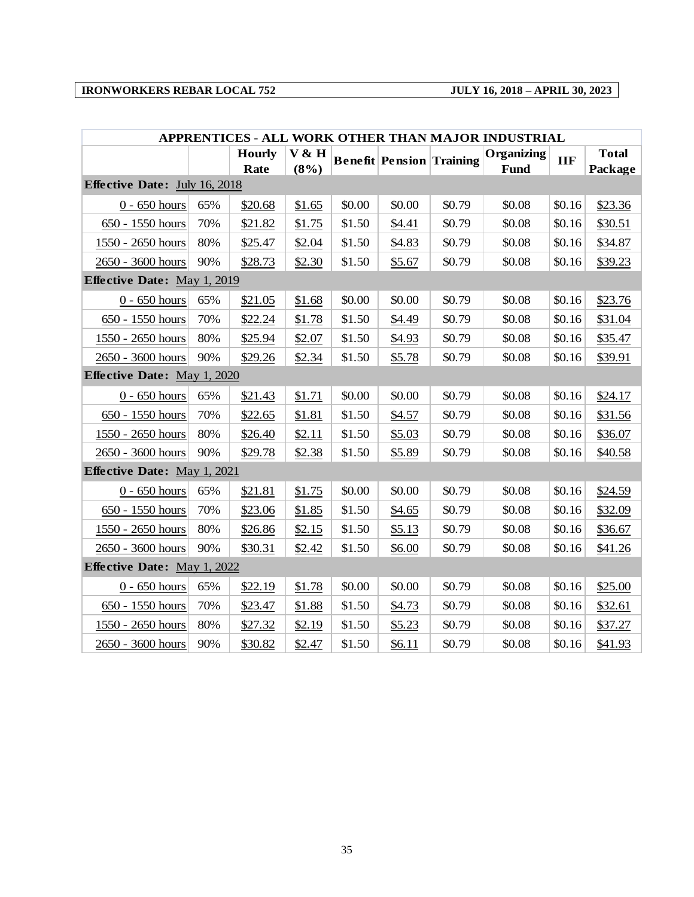| APPRENTICES - ALL WORK OTHER THAN MAJOR INDUSTRIAL |     |                       |                  |        |                                 |        |                    |            |                         |
|----------------------------------------------------|-----|-----------------------|------------------|--------|---------------------------------|--------|--------------------|------------|-------------------------|
|                                                    |     | <b>Hourly</b><br>Rate | V & H<br>$(8\%)$ |        | <b>Benefit Pension Training</b> |        | Organizing<br>Fund | <b>IIF</b> | <b>Total</b><br>Package |
| Effective Date: July 16, 2018                      |     |                       |                  |        |                                 |        |                    |            |                         |
| $0 - 650$ hours                                    | 65% | \$20.68               | \$1.65           | \$0.00 | \$0.00                          | \$0.79 | \$0.08             | \$0.16     | \$23.36                 |
| 650 - 1550 hours                                   | 70% | \$21.82               | \$1.75           | \$1.50 | \$4.41                          | \$0.79 | \$0.08             | \$0.16     | \$30.51                 |
| $1550 - 2650$ hours                                | 80% | \$25.47               | \$2.04           | \$1.50 | \$4.83                          | \$0.79 | \$0.08             | \$0.16     | \$34.87                 |
| 2650 - 3600 hours                                  | 90% | \$28.73               | \$2.30           | \$1.50 | \$5.67                          | \$0.79 | \$0.08             | \$0.16     | \$39.23                 |
| <b>Effective Date: May 1, 2019</b>                 |     |                       |                  |        |                                 |        |                    |            |                         |
| $0 - 650$ hours                                    | 65% | \$21.05               | \$1.68           | \$0.00 | \$0.00                          | \$0.79 | \$0.08             | \$0.16     | \$23.76                 |
| 650 - 1550 hours                                   | 70% | \$22.24               | \$1.78           | \$1.50 | \$4.49                          | \$0.79 | \$0.08             | \$0.16     | \$31.04                 |
| 1550 - 2650 hours                                  | 80% | \$25.94               | \$2.07           | \$1.50 | \$4.93                          | \$0.79 | \$0.08             | \$0.16     | \$35.47                 |
| 2650 - 3600 hours                                  | 90% | \$29.26               | \$2.34           | \$1.50 | \$5.78                          | \$0.79 | \$0.08             | \$0.16     | \$39.91                 |
| <b>Effective Date: May 1, 2020</b>                 |     |                       |                  |        |                                 |        |                    |            |                         |
| $0 - 650$ hours                                    | 65% | \$21.43               | \$1.71           | \$0.00 | \$0.00                          | \$0.79 | \$0.08             | \$0.16     | \$24.17                 |
| 650 - 1550 hours                                   | 70% | \$22.65               | \$1.81           | \$1.50 | \$4.57                          | \$0.79 | \$0.08             | \$0.16     | \$31.56                 |
| 1550 - 2650 hours                                  | 80% | \$26.40               | \$2.11           | \$1.50 | \$5.03                          | \$0.79 | \$0.08             | \$0.16     | \$36.07                 |
| 2650 - 3600 hours                                  | 90% | \$29.78               | \$2.38           | \$1.50 | \$5.89                          | \$0.79 | \$0.08             | \$0.16     | \$40.58                 |
| Effective Date: May 1, 2021                        |     |                       |                  |        |                                 |        |                    |            |                         |
| $0 - 650$ hours                                    | 65% | \$21.81               | \$1.75           | \$0.00 | \$0.00                          | \$0.79 | \$0.08             | \$0.16     | \$24.59                 |
| 650 - 1550 hours                                   | 70% | \$23.06               | \$1.85           | \$1.50 | \$4.65                          | \$0.79 | \$0.08             | \$0.16     | \$32.09                 |
| 1550 - 2650 hours                                  | 80% | \$26.86               | \$2.15           | \$1.50 | \$5.13                          | \$0.79 | \$0.08             | \$0.16     | \$36.67                 |
| 2650 - 3600 hours                                  | 90% | \$30.31               | \$2.42           | \$1.50 | \$6.00                          | \$0.79 | \$0.08             | \$0.16     | \$41.26                 |
| <b>Effective Date: May 1, 2022</b>                 |     |                       |                  |        |                                 |        |                    |            |                         |
| $0 - 650$ hours                                    | 65% | \$22.19               | \$1.78           | \$0.00 | \$0.00                          | \$0.79 | \$0.08             | \$0.16     | \$25.00                 |
| 650 - 1550 hours                                   | 70% | \$23.47               | \$1.88           | \$1.50 | \$4.73                          | \$0.79 | \$0.08             | \$0.16     | \$32.61                 |
| 1550 - 2650 hours                                  | 80% | \$27.32               | \$2.19           | \$1.50 | \$5.23                          | \$0.79 | \$0.08             | \$0.16     | \$37.27                 |
| 2650 - 3600 hours                                  | 90% | \$30.82               | \$2.47           | \$1.50 | \$6.11                          | \$0.79 | \$0.08             | \$0.16     | \$41.93                 |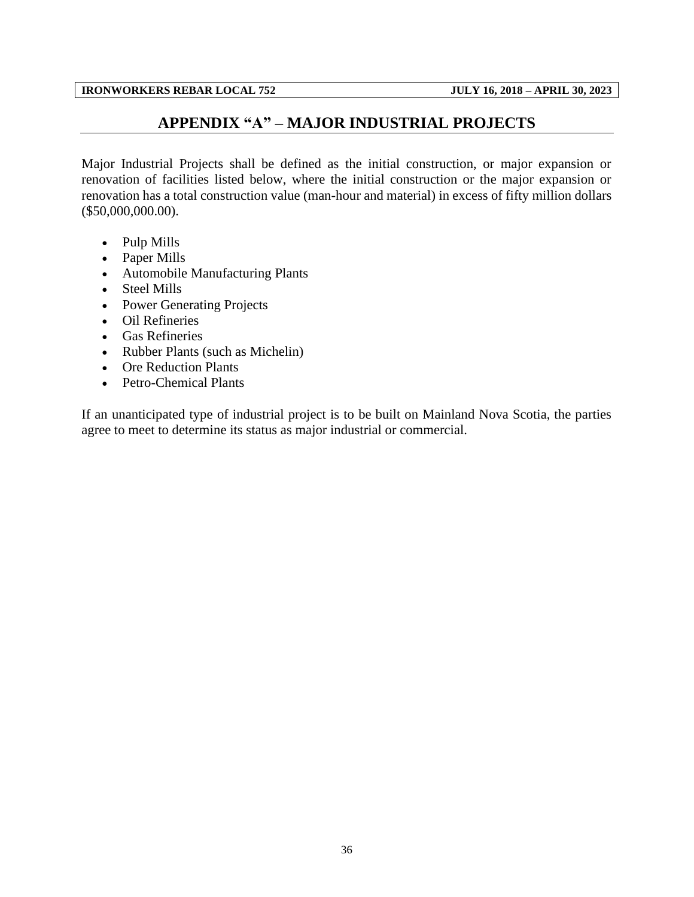#### **APPENDIX "A" – MAJOR INDUSTRIAL PROJECTS**

<span id="page-38-0"></span>Major Industrial Projects shall be defined as the initial construction, or major expansion or renovation of facilities listed below, where the initial construction or the major expansion or renovation has a total construction value (man-hour and material) in excess of fifty million dollars (\$50,000,000.00).

- Pulp Mills
- Paper Mills
- Automobile Manufacturing Plants
- Steel Mills
- Power Generating Projects
- Oil Refineries
- Gas Refineries
- Rubber Plants (such as Michelin)
- Ore Reduction Plants
- Petro-Chemical Plants

If an unanticipated type of industrial project is to be built on Mainland Nova Scotia, the parties agree to meet to determine its status as major industrial or commercial.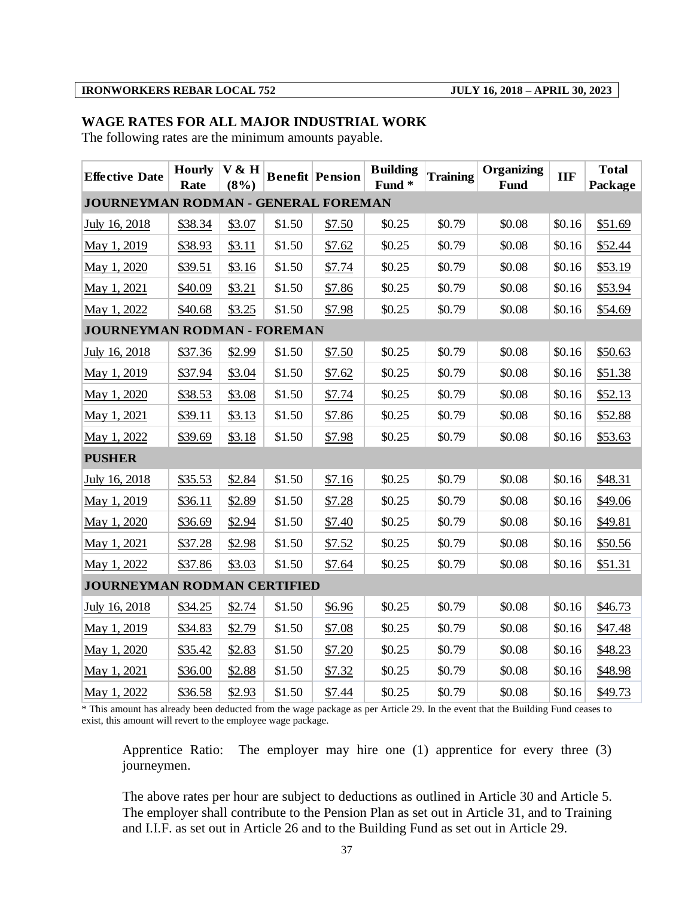#### **WAGE RATES FOR ALL MAJOR INDUSTRIAL WORK**

The following rates are the minimum amounts payable.

| <b>Effective Date</b>               | <b>Hourly</b><br>Rate | V & H<br>$(8\%)$ |        | <b>Benefit Pension</b> | <b>Building</b><br>Fund <sup>*</sup> | <b>Training</b> | Organizing<br><b>Fund</b> | <b>IIF</b> | <b>Total</b><br>Package |
|-------------------------------------|-----------------------|------------------|--------|------------------------|--------------------------------------|-----------------|---------------------------|------------|-------------------------|
| JOURNEYMAN RODMAN - GENERAL FOREMAN |                       |                  |        |                        |                                      |                 |                           |            |                         |
| July 16, 2018                       | \$38.34               | \$3.07           | \$1.50 | \$7.50                 | \$0.25                               | \$0.79          | \$0.08                    | \$0.16     | \$51.69                 |
| May 1, 2019                         | \$38.93               | \$3.11           | \$1.50 | \$7.62                 | \$0.25                               | \$0.79          | \$0.08                    | \$0.16     | \$52.44                 |
| May 1, 2020                         | \$39.51               | \$3.16           | \$1.50 | \$7.74                 | \$0.25                               | \$0.79          | \$0.08                    | \$0.16     | \$53.19                 |
| May 1, 2021                         | \$40.09               | \$3.21           | \$1.50 | \$7.86                 | \$0.25                               | \$0.79          | \$0.08                    | \$0.16     | \$53.94                 |
| May 1, 2022                         | \$40.68               | \$3.25           | \$1.50 | \$7.98                 | \$0.25                               | \$0.79          | \$0.08                    | \$0.16     | \$54.69                 |
| JOURNEYMAN RODMAN - FOREMAN         |                       |                  |        |                        |                                      |                 |                           |            |                         |
| July 16, 2018                       | \$37.36               | \$2.99           | \$1.50 | \$7.50                 | \$0.25                               | \$0.79          | \$0.08                    | \$0.16     | \$50.63                 |
| May 1, 2019                         | \$37.94               | \$3.04           | \$1.50 | \$7.62                 | \$0.25                               | \$0.79          | \$0.08                    | \$0.16     | \$51.38                 |
| May 1, 2020                         | \$38.53               | \$3.08           | \$1.50 | \$7.74                 | \$0.25                               | \$0.79          | \$0.08                    | \$0.16     | \$52.13                 |
| May 1, 2021                         | \$39.11               | \$3.13           | \$1.50 | \$7.86                 | \$0.25                               | \$0.79          | \$0.08                    | \$0.16     | \$52.88                 |
| May 1, 2022                         | \$39.69               | \$3.18           | \$1.50 | \$7.98                 | \$0.25                               | \$0.79          | \$0.08                    | \$0.16     | \$53.63                 |
| <b>PUSHER</b>                       |                       |                  |        |                        |                                      |                 |                           |            |                         |
| July 16, 2018                       | \$35.53               | \$2.84           | \$1.50 | \$7.16                 | \$0.25                               | \$0.79          | \$0.08                    | \$0.16     | \$48.31                 |
| May 1, 2019                         | \$36.11               | \$2.89           | \$1.50 | \$7.28                 | \$0.25                               | \$0.79          | \$0.08                    | \$0.16     | \$49.06                 |
| May 1, 2020                         | \$36.69               | \$2.94           | \$1.50 | \$7.40                 | \$0.25                               | \$0.79          | \$0.08                    | \$0.16     | \$49.81                 |
| May 1, 2021                         | \$37.28               | \$2.98           | \$1.50 | \$7.52                 | \$0.25                               | \$0.79          | \$0.08                    | \$0.16     | \$50.56                 |
| May 1, 2022                         | \$37.86               | \$3.03           | \$1.50 | \$7.64                 | \$0.25                               | \$0.79          | \$0.08                    | \$0.16     | \$51.31                 |
| JOURNEYMAN RODMAN CERTIFIED         |                       |                  |        |                        |                                      |                 |                           |            |                         |
| July 16, 2018                       | \$34.25               | \$2.74           | \$1.50 | \$6.96                 | \$0.25                               | \$0.79          | \$0.08                    | \$0.16     | \$46.73                 |
| May 1, 2019                         | \$34.83               | \$2.79           | \$1.50 | \$7.08                 | \$0.25                               | \$0.79          | \$0.08                    | \$0.16     | \$47.48                 |
| May 1, 2020                         | \$35.42               | \$2.83           | \$1.50 | \$7.20                 | \$0.25                               | \$0.79          | \$0.08                    | \$0.16     | \$48.23                 |
| May 1, 2021                         | \$36.00               | \$2.88           | \$1.50 | \$7.32                 | \$0.25                               | \$0.79          | \$0.08                    | \$0.16     | \$48.98                 |
| May 1, 2022                         | \$36.58               | \$2.93           | \$1.50 | \$7.44                 | \$0.25                               | \$0.79          | \$0.08                    | \$0.16     | \$49.73                 |

\* This amount has already been deducted from the wage package as per Article 29. In the event that the Building Fund ceases to exist, this amount will revert to the employee wage package.

Apprentice Ratio: The employer may hire one (1) apprentice for every three (3) journeymen.

The above rates per hour are subject to deductions as outlined in Article 30 and Article 5. The employer shall contribute to the Pension Plan as set out in Article 31, and to Training and I.I.F. as set out in Article 26 and to the Building Fund as set out in Article 29.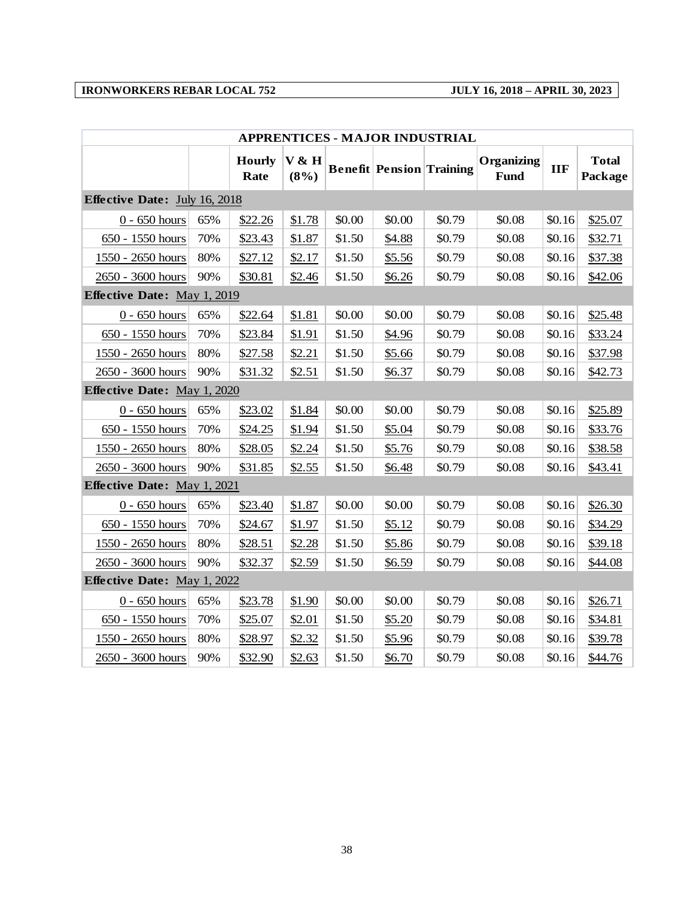| <b>APPRENTICES - MAJOR INDUSTRIAL</b> |     |                       |                  |        |                                 |        |                           |            |                         |
|---------------------------------------|-----|-----------------------|------------------|--------|---------------------------------|--------|---------------------------|------------|-------------------------|
|                                       |     | <b>Hourly</b><br>Rate | V & H<br>$(8\%)$ |        | <b>Benefit Pension Training</b> |        | Organizing<br><b>Fund</b> | <b>IIF</b> | <b>Total</b><br>Package |
| Effective Date: July 16, 2018         |     |                       |                  |        |                                 |        |                           |            |                         |
| $0 - 650$ hours                       | 65% | \$22.26               | \$1.78           | \$0.00 | \$0.00                          | \$0.79 | \$0.08                    | \$0.16     | \$25.07                 |
| 650 - 1550 hours                      | 70% | \$23.43               | \$1.87           | \$1.50 | \$4.88                          | \$0.79 | \$0.08                    | \$0.16     | \$32.71                 |
| 1550 - 2650 hours                     | 80% | \$27.12               | \$2.17           | \$1.50 | \$5.56                          | \$0.79 | \$0.08                    | \$0.16     | \$37.38                 |
| 2650 - 3600 hours                     | 90% | \$30.81               | \$2.46           | \$1.50 | \$6.26                          | \$0.79 | \$0.08                    | \$0.16     | \$42.06                 |
| <b>Effective Date:</b> May 1, 2019    |     |                       |                  |        |                                 |        |                           |            |                         |
| $0 - 650$ hours                       | 65% | \$22.64               | \$1.81           | \$0.00 | \$0.00                          | \$0.79 | \$0.08                    | \$0.16     | \$25.48                 |
| 650 - 1550 hours                      | 70% | \$23.84               | \$1.91           | \$1.50 | \$4.96                          | \$0.79 | \$0.08                    | \$0.16     | \$33.24                 |
| 1550 - 2650 hours                     | 80% | \$27.58               | \$2.21           | \$1.50 | \$5.66                          | \$0.79 | \$0.08                    | \$0.16     | \$37.98                 |
| 2650 - 3600 hours                     | 90% | \$31.32               | \$2.51           | \$1.50 | \$6.37                          | \$0.79 | \$0.08                    | \$0.16     | \$42.73                 |
| Effective Date: May 1, 2020           |     |                       |                  |        |                                 |        |                           |            |                         |
| $0 - 650$ hours                       | 65% | \$23.02               | \$1.84           | \$0.00 | \$0.00                          | \$0.79 | \$0.08                    | \$0.16     | \$25.89                 |
| 650 - 1550 hours                      | 70% | \$24.25               | \$1.94           | \$1.50 | \$5.04                          | \$0.79 | \$0.08                    | \$0.16     | \$33.76                 |
| 1550 - 2650 hours                     | 80% | \$28.05               | \$2.24           | \$1.50 | \$5.76                          | \$0.79 | \$0.08                    | \$0.16     | \$38.58                 |
| 2650 - 3600 hours                     | 90% | \$31.85               | \$2.55           | \$1.50 | \$6.48                          | \$0.79 | \$0.08                    | \$0.16     | \$43.41                 |
| Effective Date: May 1, 2021           |     |                       |                  |        |                                 |        |                           |            |                         |
| $0 - 650$ hours                       | 65% | \$23.40               | \$1.87           | \$0.00 | \$0.00                          | \$0.79 | \$0.08                    | \$0.16     | \$26.30                 |
| 650 - 1550 hours                      | 70% | \$24.67               | \$1.97           | \$1.50 | \$5.12                          | \$0.79 | \$0.08                    | \$0.16     | \$34.29                 |
| 1550 - 2650 hours                     | 80% | \$28.51               | \$2.28           | \$1.50 | \$5.86                          | \$0.79 | \$0.08                    | \$0.16     | \$39.18                 |
| 2650 - 3600 hours                     | 90% | \$32.37               | \$2.59           | \$1.50 | \$6.59                          | \$0.79 | \$0.08                    | \$0.16     | \$44.08                 |
| <b>Effective Date:</b> May 1, 2022    |     |                       |                  |        |                                 |        |                           |            |                         |
| $0 - 650$ hours                       | 65% | \$23.78               | \$1.90           | \$0.00 | \$0.00                          | \$0.79 | \$0.08                    | \$0.16     | \$26.71                 |
| 650 - 1550 hours                      | 70% | \$25.07               | \$2.01           | \$1.50 | \$5.20                          | \$0.79 | \$0.08                    | \$0.16     | \$34.81                 |
| 1550 - 2650 hours                     | 80% | \$28.97               | \$2.32           | \$1.50 | \$5.96                          | \$0.79 | \$0.08                    | \$0.16     | \$39.78                 |
| 2650 - 3600 hours                     | 90% | \$32.90               | \$2.63           | \$1.50 | \$6.70                          | \$0.79 | \$0.08                    | \$0.16     | \$44.76                 |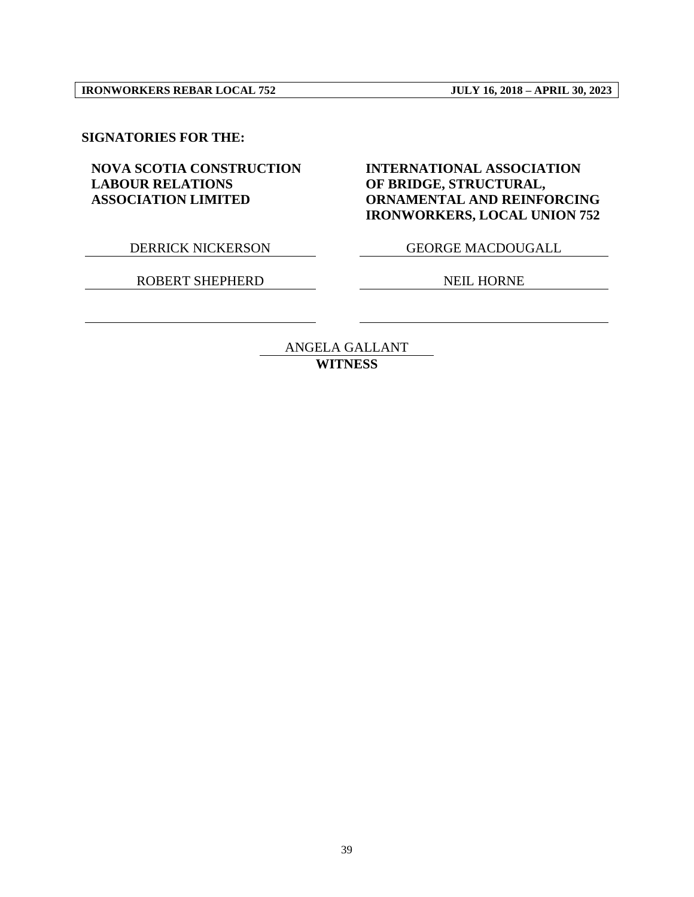#### **SIGNATORIES FOR THE:**

#### **NOVA SCOTIA CONSTRUCTION LABOUR RELATIONS ASSOCIATION LIMITED**

DERRICK NICKERSON GEORGE MACDOUGALL

**ORNAMENTAL AND REINFORCING IRONWORKERS, LOCAL UNION 752**

**INTERNATIONAL ASSOCIATION** 

**OF BRIDGE, STRUCTURAL,** 

ROBERT SHEPHERD NEIL HORNE

ANGELA GALLANT **WITNESS**